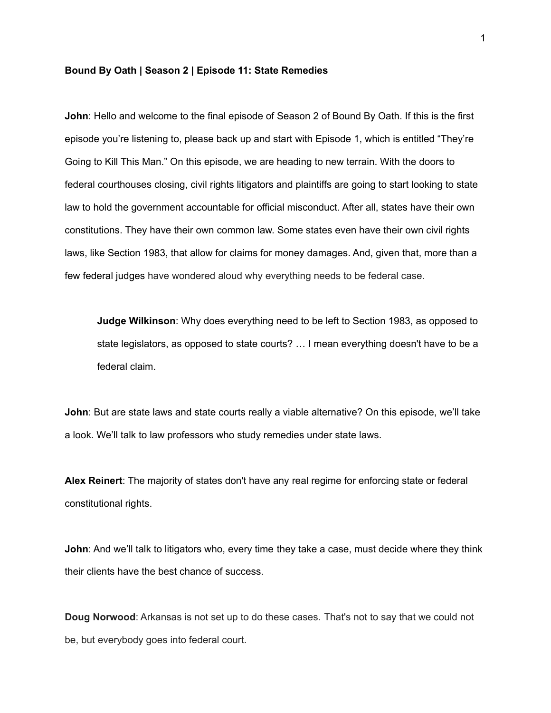## **Bound By Oath | Season 2 | Episode 11: State Remedies**

**John**: Hello and welcome to the final episode of Season 2 of Bound By Oath. If this is the first episode you're listening to, please back up and start with Episode 1, which is entitled "They're Going to Kill This Man." On this episode, we are heading to new terrain. With the doors to federal courthouses closing, civil rights litigators and plaintiffs are going to start looking to state law to hold the government accountable for official misconduct. After all, states have their own constitutions. They have their own common law. Some states even have their own civil rights laws, like Section 1983, that allow for claims for money damages. And, given that, more than a few federal judges have wondered aloud why everything needs to be federal case.

**Judge Wilkinson**: Why does everything need to be left to Section 1983, as opposed to state legislators, as opposed to state courts? … I mean everything doesn't have to be a federal claim.

**John**: But are state laws and state courts really a viable alternative? On this episode, we'll take a look. We'll talk to law professors who study remedies under state laws.

**Alex Reinert**: The majority of states don't have any real regime for enforcing state or federal constitutional rights.

**John**: And we'll talk to litigators who, every time they take a case, must decide where they think their clients have the best chance of success.

**Doug Norwood**: Arkansas is not set up to do these cases. That's not to say that we could not be, but everybody goes into federal court.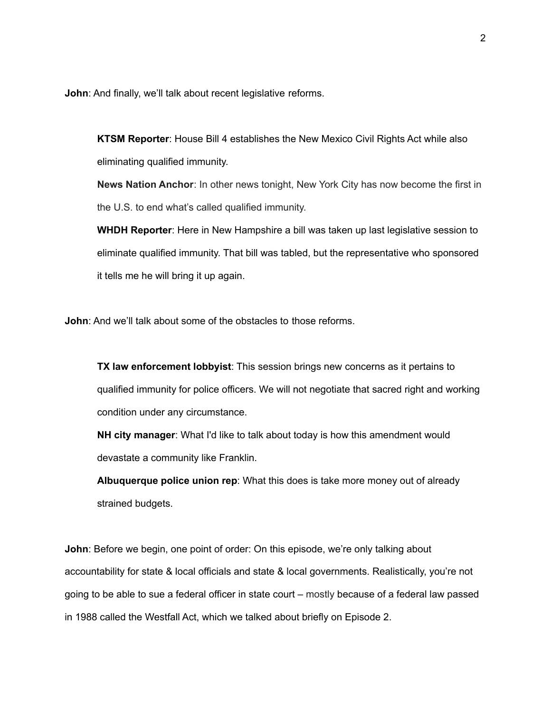**John**: And finally, we'll talk about recent legislative reforms.

**KTSM Reporter**: House Bill 4 establishes the New Mexico Civil Rights Act while also eliminating qualified immunity.

**News Nation Anchor**: In other news tonight, New York City has now become the first in the U.S. to end what's called qualified immunity.

**WHDH Reporter**: Here in New Hampshire a bill was taken up last legislative session to eliminate qualified immunity. That bill was tabled, but the representative who sponsored it tells me he will bring it up again.

**John:** And we'll talk about some of the obstacles to those reforms.

**TX law enforcement lobbyist**: This session brings new concerns as it pertains to qualified immunity for police officers. We will not negotiate that sacred right and working condition under any circumstance.

**NH city manager**: What I'd like to talk about today is how this amendment would devastate a community like Franklin.

**Albuquerque police union rep**: What this does is take more money out of already strained budgets.

**John**: Before we begin, one point of order: On this episode, we're only talking about accountability for state & local officials and state & local governments. Realistically, you're not going to be able to sue a federal officer in state court – mostly because of a federal law passed in 1988 called the Westfall Act, which we talked about briefly on Episode 2.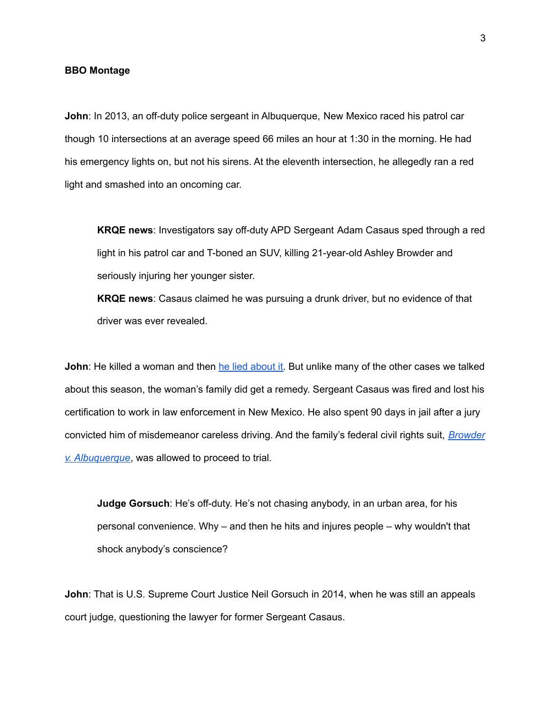## **BBO Montage**

**John**: In 2013, an off-duty police sergeant in Albuquerque, New Mexico raced his patrol car though 10 intersections at an average speed 66 miles an hour at 1:30 in the morning. He had his emergency lights on, but not his sirens. At the eleventh intersection, he allegedly ran a red light and smashed into an oncoming car.

**KRQE news**: Investigators say off-duty APD Sergeant Adam Casaus sped through a red light in his patrol car and T-boned an SUV, killing 21-year-old Ashley Browder and seriously injuring her younger sister.

**KRQE news**: Casaus claimed he was pursuing a drunk driver, but no evidence of that driver was ever revealed.

**John**: He killed a woman and then he lied [about](https://www.kob.com/kobtvimages/repository/cs/files/Appeal%20to%20District%20Court.pdf) it. But unlike many of the other cases we talked about this season, the woman's family did get a remedy. Sergeant Casaus was fired and lost his certification to work in law enforcement in New Mexico. He also spent 90 days in jail after a jury convicted him of misdemeanor careless driving. And the family's federal civil rights suit, *[Browder](https://scholar.google.com/scholar_case?case=15290356169383205984&q=browder+v+albuquerque&hl=en&as_sdt=4,74,81,91,98,101,106,120,137,144,154,161,164,295,296,297,358,359,360,384) v. [Albuquerque](https://scholar.google.com/scholar_case?case=15290356169383205984&q=browder+v+albuquerque&hl=en&as_sdt=4,74,81,91,98,101,106,120,137,144,154,161,164,295,296,297,358,359,360,384)*, was allowed to proceed to trial.

**Judge Gorsuch**: He's off-duty. He's not chasing anybody, in an urban area, for his personal convenience. Why – and then he hits and injures people – why wouldn't that shock anybody's conscience?

**John**: That is U.S. Supreme Court Justice Neil Gorsuch in 2014, when he was still an appeals court judge, questioning the lawyer for former Sergeant Casaus.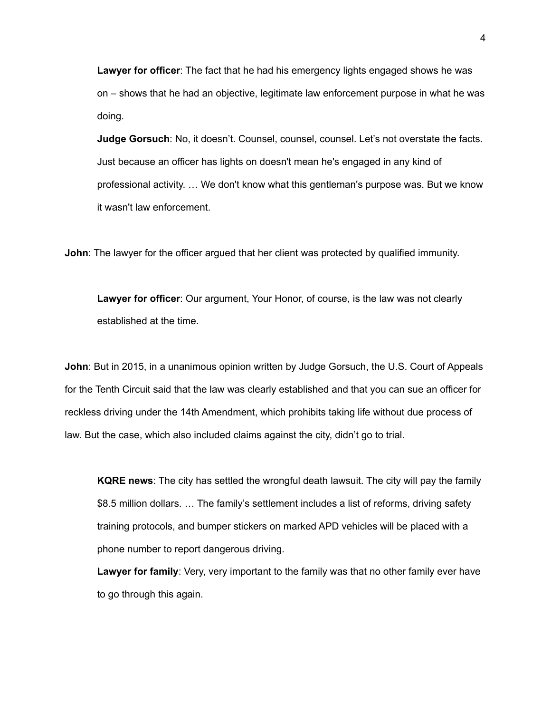**Lawyer for officer**: The fact that he had his emergency lights engaged shows he was on – shows that he had an objective, legitimate law enforcement purpose in what he was doing.

**Judge Gorsuch**: No, it doesn't. Counsel, counsel, counsel. Let's not overstate the facts. Just because an officer has lights on doesn't mean he's engaged in any kind of professional activity. … We don't know what this gentleman's purpose was. But we know it wasn't law enforcement.

**John**: The lawyer for the officer argued that her client was protected by qualified immunity.

**Lawyer for officer**: Our argument, Your Honor, of course, is the law was not clearly established at the time.

**John**: But in 2015, in a unanimous opinion written by Judge Gorsuch, the U.S. Court of Appeals for the Tenth Circuit said that the law was clearly established and that you can sue an officer for reckless driving under the 14th Amendment, which prohibits taking life without due process of law. But the case, which also included claims against the city, didn't go to trial.

**KQRE news**: The city has settled the wrongful death lawsuit. The city will pay the family \$8.5 million dollars. … The family's settlement includes a list of reforms, driving safety training protocols, and bumper stickers on marked APD vehicles will be placed with a phone number to report dangerous driving.

**Lawyer for family**: Very, very important to the family was that no other family ever have to go through this again.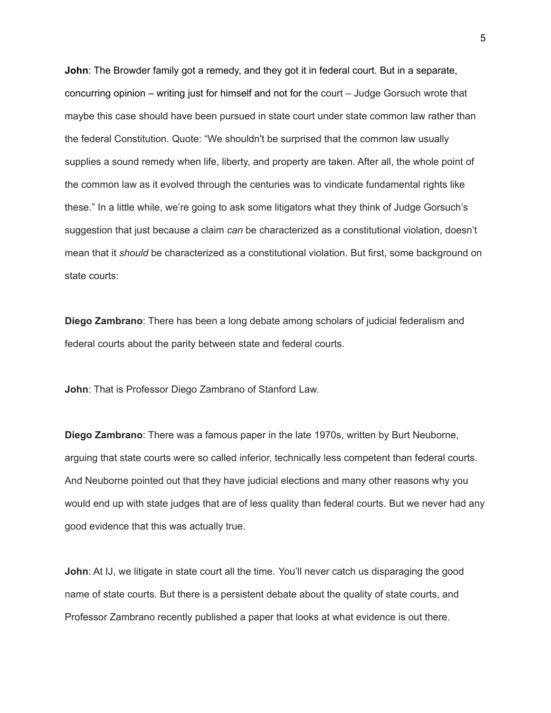**John**: The Browder family got a remedy, and they got it in federal court. But in a separate, concurring opinion – writing just for himself and not for the court – Judge Gorsuch wrote that maybe this case should have been pursued in state court under state common law rather than the federal Constitution. Quote: "We shouldn't be surprised that the common law usually supplies a sound remedy when life, liberty, and property are taken. After all, the whole point of the common law as it evolved through the centuries was to vindicate fundamental rights like these." In a little while, we're going to ask some litigators what they think of Judge Gorsuch's suggestion that just because a claim *can* be characterized as a constitutional violation, doesn't mean that it *should* be characterized as a constitutional violation. But first, some background on state courts:

**Diego Zambrano**: There has been a long debate among scholars of judicial federalism and federal courts about the parity between state and federal courts.

**John**: That is Professor Diego Zambrano of Stanford Law.

**Diego Zambrano**: There was a famous paper in the late 1970s, written by Burt Neuborne, arguing that state courts were so called inferior, technically less competent than federal courts. And Neuborne pointed out that they have judicial elections and many other reasons why you would end up with state judges that are of less quality than federal courts. But we never had any good evidence that this was actually true.

**John**: At IJ, we litigate in state court all the time. You'll never catch us disparaging the good name of state courts. But there is a persistent debate about the quality of state courts, and Professor Zambrano recently published a paper that looks at what evidence is out there.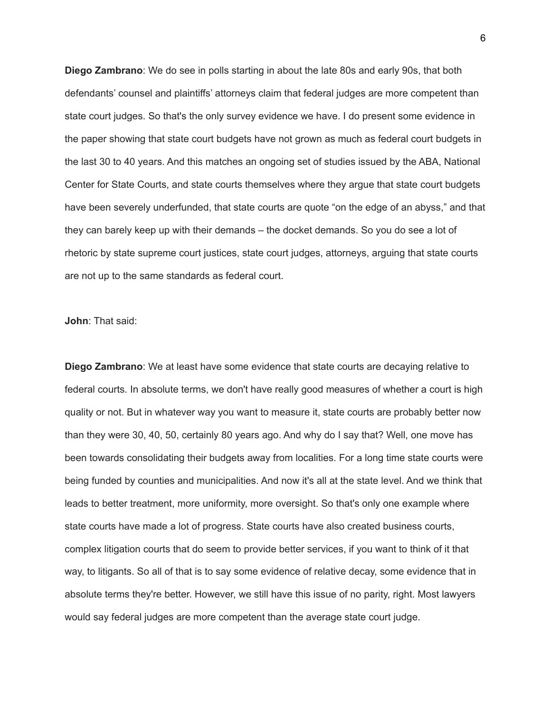**Diego Zambrano**: We do see in polls starting in about the late 80s and early 90s, that both defendants' counsel and plaintiffs' attorneys claim that federal judges are more competent than state court judges. So that's the only survey evidence we have. I do present some evidence in the paper showing that state court budgets have not grown as much as federal court budgets in the last 30 to 40 years. And this matches an ongoing set of studies issued by the ABA, National Center for State Courts, and state courts themselves where they argue that state court budgets have been severely underfunded, that state courts are quote "on the edge of an abyss," and that they can barely keep up with their demands – the docket demands. So you do see a lot of rhetoric by state supreme court justices, state court judges, attorneys, arguing that state courts are not up to the same standards as federal court.

**John**: That said:

**Diego Zambrano**: We at least have some evidence that state courts are decaying relative to federal courts. In absolute terms, we don't have really good measures of whether a court is high quality or not. But in whatever way you want to measure it, state courts are probably better now than they were 30, 40, 50, certainly 80 years ago. And why do I say that? Well, one move has been towards consolidating their budgets away from localities. For a long time state courts were being funded by counties and municipalities. And now it's all at the state level. And we think that leads to better treatment, more uniformity, more oversight. So that's only one example where state courts have made a lot of progress. State courts have also created business courts, complex litigation courts that do seem to provide better services, if you want to think of it that way, to litigants. So all of that is to say some evidence of relative decay, some evidence that in absolute terms they're better. However, we still have this issue of no parity, right. Most lawyers would say federal judges are more competent than the average state court judge.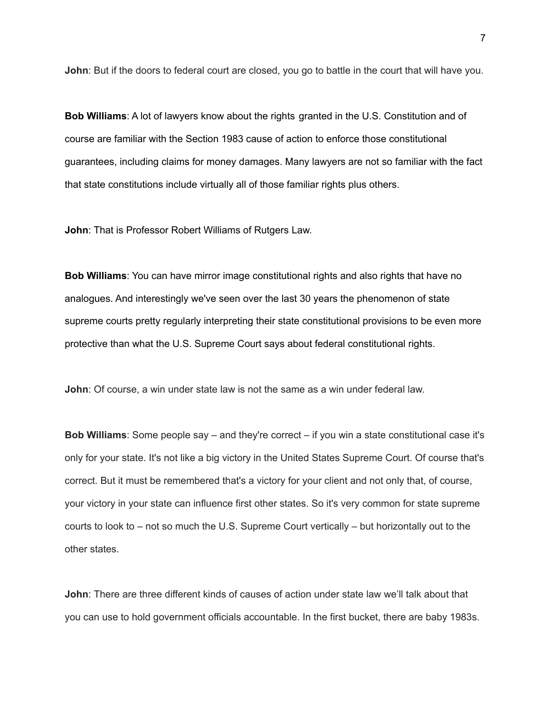**John**: But if the doors to federal court are closed, you go to battle in the court that will have you.

**Bob Williams**: A lot of lawyers know about the rights granted in the U.S. Constitution and of course are familiar with the Section 1983 cause of action to enforce those constitutional guarantees, including claims for money damages. Many lawyers are not so familiar with the fact that state constitutions include virtually all of those familiar rights plus others.

**John**: That is Professor Robert Williams of Rutgers Law.

**Bob Williams**: You can have mirror image constitutional rights and also rights that have no analogues. And interestingly we've seen over the last 30 years the phenomenon of state supreme courts pretty regularly interpreting their state constitutional provisions to be even more protective than what the U.S. Supreme Court says about federal constitutional rights.

**John**: Of course, a win under state law is not the same as a win under federal law.

**Bob Williams**: Some people say – and they're correct – if you win a state constitutional case it's only for your state. It's not like a big victory in the United States Supreme Court. Of course that's correct. But it must be remembered that's a victory for your client and not only that, of course, your victory in your state can influence first other states. So it's very common for state supreme courts to look to – not so much the U.S. Supreme Court vertically – but horizontally out to the other states.

**John**: There are three different kinds of causes of action under state law we'll talk about that you can use to hold government officials accountable. In the first bucket, there are baby 1983s.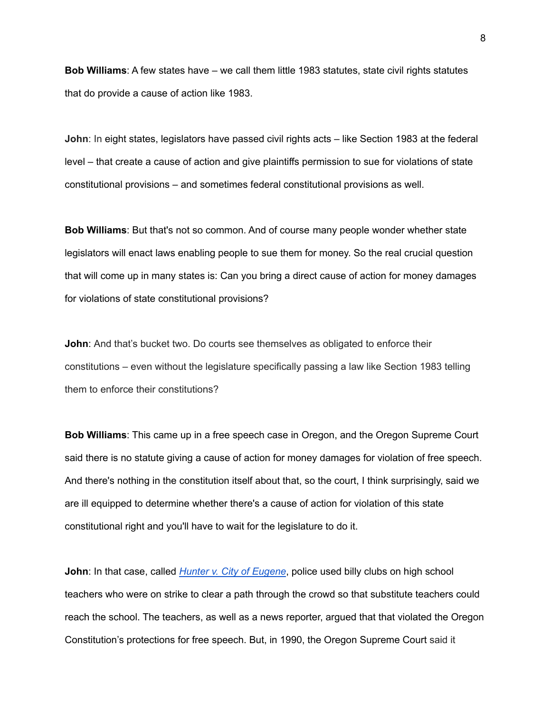**Bob Williams**: A few states have – we call them little 1983 statutes, state civil rights statutes that do provide a cause of action like 1983.

**John**: In eight states, legislators have passed civil rights acts – like Section 1983 at the federal level – that create a cause of action and give plaintiffs permission to sue for violations of state constitutional provisions – and sometimes federal constitutional provisions as well.

**Bob Williams**: But that's not so common. And of course many people wonder whether state legislators will enact laws enabling people to sue them for money. So the real crucial question that will come up in many states is: Can you bring a direct cause of action for money damages for violations of state constitutional provisions?

**John**: And that's bucket two. Do courts see themselves as obligated to enforce their constitutions – even without the legislature specifically passing a law like Section 1983 telling them to enforce their constitutions?

**Bob Williams**: This came up in a free speech case in Oregon, and the Oregon Supreme Court said there is no statute giving a cause of action for money damages for violation of free speech. And there's nothing in the constitution itself about that, so the court, I think surprisingly, said we are ill equipped to determine whether there's a cause of action for violation of this state constitutional right and you'll have to wait for the legislature to do it.

**John**: In that case, called *Hunter v. City of [Eugene](https://law.justia.com/cases/oregon/supreme-court/1990/309-or-298.html)*, police used billy clubs on high school teachers who were on strike to clear a path through the crowd so that substitute teachers could reach the school. The teachers, as well as a news reporter, argued that that violated the Oregon Constitution's protections for free speech. But, in 1990, the Oregon Supreme Court said it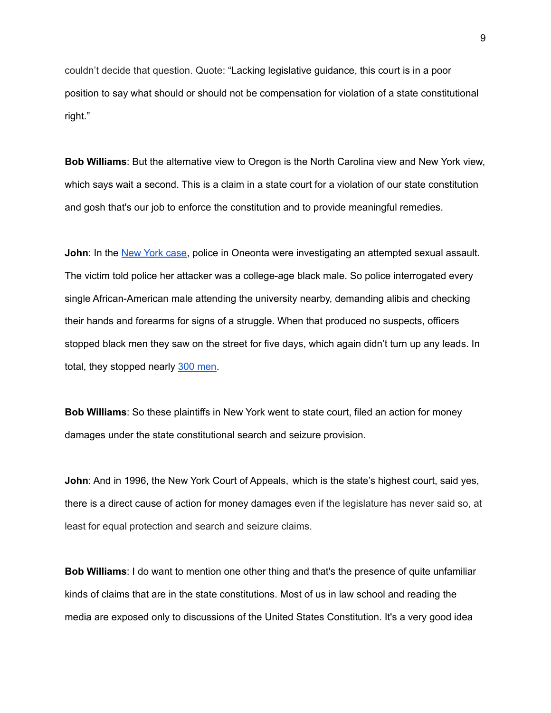couldn't decide that question. Quote: "Lacking legislative guidance, this court is in a poor position to say what should or should not be compensation for violation of a state constitutional right."

**Bob Williams**: But the alternative view to Oregon is the North Carolina view and New York view, which says wait a second. This is a claim in a state court for a violation of our state constitution and gosh that's our job to enforce the constitution and to provide meaningful remedies.

**John**: In the New York [case,](https://casetext.com/case/brown-v-state-of-new-york-8) police in Oneonta were investigating an attempted sexual assault. The victim told police her attacker was a college-age black male. So police interrogated every single African-American male attending the university nearby, demanding alibis and checking their hands and forearms for signs of a struggle. When that produced no suspects, officers stopped black men they saw on the street for five days, which again didn't turn up any leads. In total, they stopped nearly 300 [men.](https://digitalcommons.tourolaw.edu/cgi/viewcontent.cgi?article=2493&context=lawreview)

**Bob Williams**: So these plaintiffs in New York went to state court, filed an action for money damages under the state constitutional search and seizure provision.

**John**: And in 1996, the New York Court of Appeals, which is the state's highest court, said yes, there is a direct cause of action for money damages even if the legislature has never said so, at least for equal protection and search and seizure claims.

**Bob Williams**: I do want to mention one other thing and that's the presence of quite unfamiliar kinds of claims that are in the state constitutions. Most of us in law school and reading the media are exposed only to discussions of the United States Constitution. It's a very good idea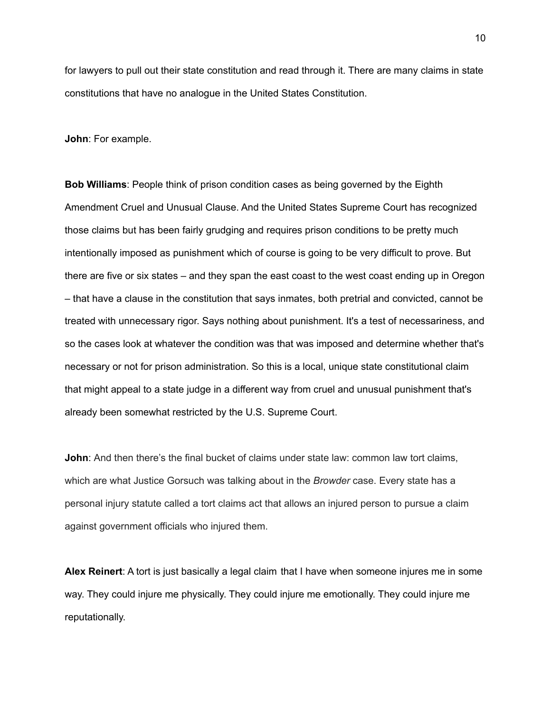for lawyers to pull out their state constitution and read through it. There are many claims in state constitutions that have no analogue in the United States Constitution.

**John**: For example.

**Bob Williams**: People think of prison condition cases as being governed by the Eighth Amendment Cruel and Unusual Clause. And the United States Supreme Court has recognized those claims but has been fairly grudging and requires prison conditions to be pretty much intentionally imposed as punishment which of course is going to be very difficult to prove. But there are five or six states – and they span the east coast to the west coast ending up in Oregon – that have a clause in the constitution that says inmates, both pretrial and convicted, cannot be treated with unnecessary rigor. Says nothing about punishment. It's a test of necessariness, and so the cases look at whatever the condition was that was imposed and determine whether that's necessary or not for prison administration. So this is a local, unique state constitutional claim that might appeal to a state judge in a different way from cruel and unusual punishment that's already been somewhat restricted by the U.S. Supreme Court.

**John**: And then there's the final bucket of claims under state law: common law tort claims, which are what Justice Gorsuch was talking about in the *Browder* case. Every state has a personal injury statute called a tort claims act that allows an injured person to pursue a claim against government officials who injured them.

**Alex Reinert**: A tort is just basically a legal claim that I have when someone injures me in some way. They could injure me physically. They could injure me emotionally. They could injure me reputationally.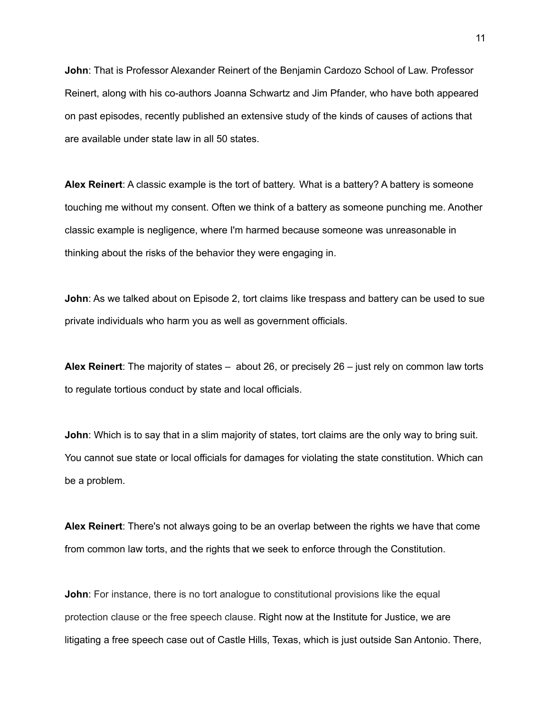**John**: That is Professor Alexander Reinert of the Benjamin Cardozo School of Law. Professor Reinert, along with his co-authors Joanna Schwartz and Jim Pfander, who have both appeared on past episodes, recently published an extensive study of the kinds of causes of actions that are available under state law in all 50 states.

**Alex Reinert**: A classic example is the tort of battery. What is a battery? A battery is someone touching me without my consent. Often we think of a battery as someone punching me. Another classic example is negligence, where I'm harmed because someone was unreasonable in thinking about the risks of the behavior they were engaging in.

**John**: As we talked about on Episode 2, tort claims like trespass and battery can be used to sue private individuals who harm you as well as government officials.

**Alex Reinert**: The majority of states – about 26, or precisely 26 – just rely on common law torts to regulate tortious conduct by state and local officials.

**John**: Which is to say that in a slim majority of states, tort claims are the only way to bring suit. You cannot sue state or local officials for damages for violating the state constitution. Which can be a problem.

**Alex Reinert**: There's not always going to be an overlap between the rights we have that come from common law torts, and the rights that we seek to enforce through the Constitution.

**John**: For instance, there is no tort analogue to constitutional provisions like the equal protection clause or the free speech clause. Right now at the Institute for Justice, we are litigating a free speech case out of Castle Hills, Texas, which is just outside San Antonio. There,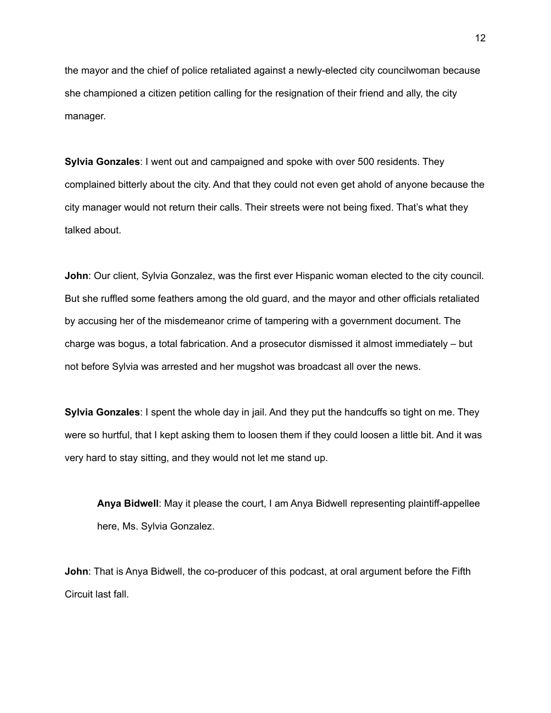the mayor and the chief of police retaliated against a newly-elected city councilwoman because she championed a citizen petition calling for the resignation of their friend and ally, the city manager.

**Sylvia Gonzales**: I went out and campaigned and spoke with over 500 residents. They complained bitterly about the city. And that they could not even get ahold of anyone because the city manager would not return their calls. Their streets were not being fixed. That's what they talked about.

**John**: Our client, Sylvia Gonzalez, was the first ever Hispanic woman elected to the city council. But she ruffled some feathers among the old guard, and the mayor and other officials retaliated by accusing her of the misdemeanor crime of tampering with a government document. The charge was bogus, a total fabrication. And a prosecutor dismissed it almost immediately – but not before Sylvia was arrested and her mugshot was broadcast all over the news.

**Sylvia Gonzales**: I spent the whole day in jail. And they put the handcuffs so tight on me. They were so hurtful, that I kept asking them to loosen them if they could loosen a little bit. And it was very hard to stay sitting, and they would not let me stand up.

**Anya Bidwell**: May it please the court, I am Anya Bidwell representing plaintiff-appellee here, Ms. Sylvia Gonzalez.

**John**: That is Anya Bidwell, the co-producer of this podcast, at oral argument before the Fifth Circuit last fall.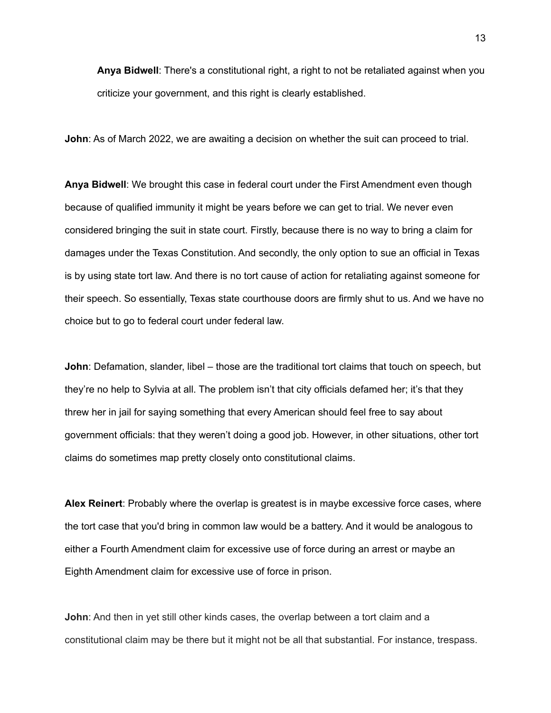**Anya Bidwell**: There's a constitutional right, a right to not be retaliated against when you criticize your government, and this right is clearly established.

**John**: As of March 2022, we are awaiting a decision on whether the suit can proceed to trial.

**Anya Bidwell**: We brought this case in federal court under the First Amendment even though because of qualified immunity it might be years before we can get to trial. We never even considered bringing the suit in state court. Firstly, because there is no way to bring a claim for damages under the Texas Constitution. And secondly, the only option to sue an official in Texas is by using state tort law. And there is no tort cause of action for retaliating against someone for their speech. So essentially, Texas state courthouse doors are firmly shut to us. And we have no choice but to go to federal court under federal law.

**John**: Defamation, slander, libel – those are the traditional tort claims that touch on speech, but they're no help to Sylvia at all. The problem isn't that city officials defamed her; it's that they threw her in jail for saying something that every American should feel free to say about government officials: that they weren't doing a good job. However, in other situations, other tort claims do sometimes map pretty closely onto constitutional claims.

**Alex Reinert**: Probably where the overlap is greatest is in maybe excessive force cases, where the tort case that you'd bring in common law would be a battery. And it would be analogous to either a Fourth Amendment claim for excessive use of force during an arrest or maybe an Eighth Amendment claim for excessive use of force in prison.

**John**: And then in yet still other kinds cases, the overlap between a tort claim and a constitutional claim may be there but it might not be all that substantial. For instance, trespass.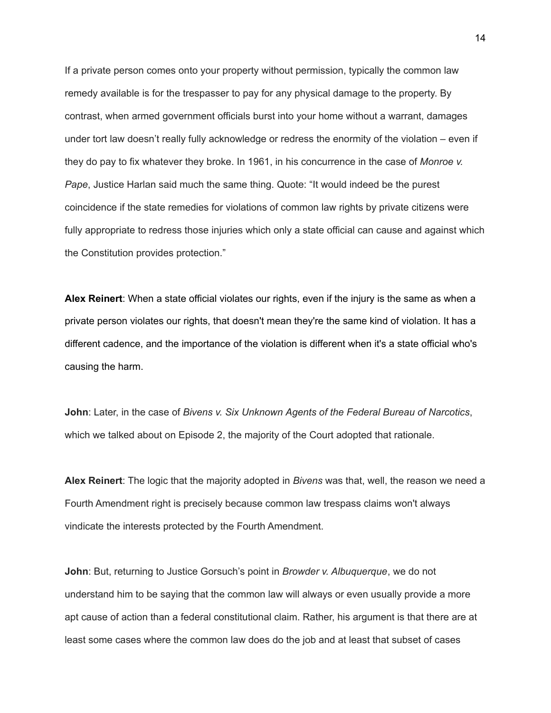If a private person comes onto your property without permission, typically the common law remedy available is for the trespasser to pay for any physical damage to the property. By contrast, when armed government officials burst into your home without a warrant, damages under tort law doesn't really fully acknowledge or redress the enormity of the violation – even if they do pay to fix whatever they broke. In 1961, in his concurrence in the case of *Monroe v. Pape*, Justice Harlan said much the same thing. Quote: "It would indeed be the purest coincidence if the state remedies for violations of common law rights by private citizens were fully appropriate to redress those injuries which only a state official can cause and against which the Constitution provides protection."

**Alex Reinert**: When a state official violates our rights, even if the injury is the same as when a private person violates our rights, that doesn't mean they're the same kind of violation. It has a different cadence, and the importance of the violation is different when it's a state official who's causing the harm.

**John**: Later, in the case of *Bivens v. Six Unknown Agents of the Federal Bureau of Narcotics*, which we talked about on Episode 2, the majority of the Court adopted that rationale.

**Alex Reinert**: The logic that the majority adopted in *Bivens* was that, well, the reason we need a Fourth Amendment right is precisely because common law trespass claims won't always vindicate the interests protected by the Fourth Amendment.

**John**: But, returning to Justice Gorsuch's point in *Browder v. Albuquerque*, we do not understand him to be saying that the common law will always or even usually provide a more apt cause of action than a federal constitutional claim. Rather, his argument is that there are at least some cases where the common law does do the job and at least that subset of cases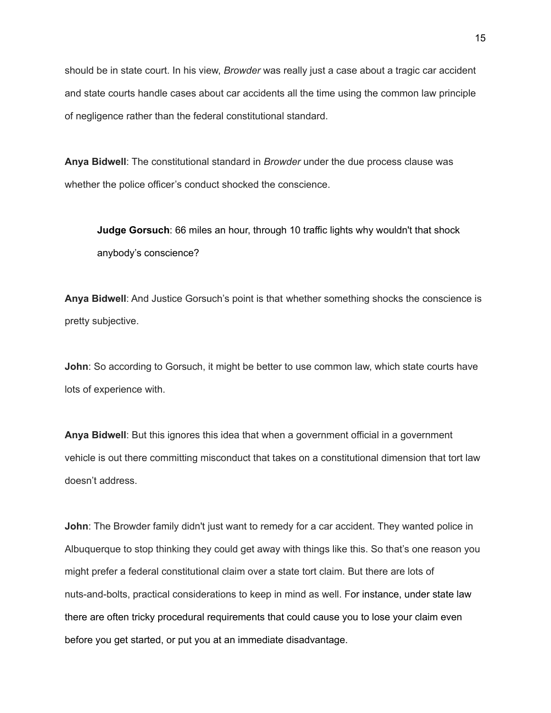should be in state court. In his view, *Browder* was really just a case about a tragic car accident and state courts handle cases about car accidents all the time using the common law principle of negligence rather than the federal constitutional standard.

**Anya Bidwell**: The constitutional standard in *Browder* under the due process clause was whether the police officer's conduct shocked the conscience.

**Judge Gorsuch**: 66 miles an hour, through 10 traffic lights why wouldn't that shock anybody's conscience?

**Anya Bidwell**: And Justice Gorsuch's point is that whether something shocks the conscience is pretty subjective.

**John**: So according to Gorsuch, it might be better to use common law, which state courts have lots of experience with.

**Anya Bidwell**: But this ignores this idea that when a government official in a government vehicle is out there committing misconduct that takes on a constitutional dimension that tort law doesn't address.

**John**: The Browder family didn't just want to remedy for a car accident. They wanted police in Albuquerque to stop thinking they could get away with things like this. So that's one reason you might prefer a federal constitutional claim over a state tort claim. But there are lots of nuts-and-bolts, practical considerations to keep in mind as well. For instance, under state law there are often tricky procedural requirements that could cause you to lose your claim even before you get started, or put you at an immediate disadvantage.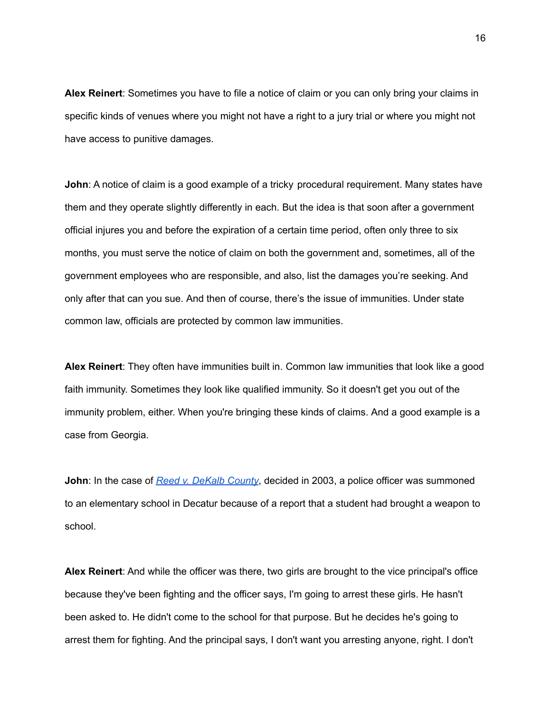**Alex Reinert**: Sometimes you have to file a notice of claim or you can only bring your claims in specific kinds of venues where you might not have a right to a jury trial or where you might not have access to punitive damages.

**John**: A notice of claim is a good example of a tricky procedural requirement. Many states have them and they operate slightly differently in each. But the idea is that soon after a government official injures you and before the expiration of a certain time period, often only three to six months, you must serve the notice of claim on both the government and, sometimes, all of the government employees who are responsible, and also, list the damages you're seeking. And only after that can you sue. And then of course, there's the issue of immunities. Under state common law, officials are protected by common law immunities.

**Alex Reinert**: They often have immunities built in. Common law immunities that look like a good faith immunity. Sometimes they look like qualified immunity. So it doesn't get you out of the immunity problem, either. When you're bringing these kinds of claims. And a good example is a case from Georgia.

**John**: In the case of *Reed v. [DeKalb](https://caselaw.findlaw.com/ga-court-of-appeals/1351805.html) County*, decided in 2003, a police officer was summoned to an elementary school in Decatur because of a report that a student had brought a weapon to school.

**Alex Reinert**: And while the officer was there, two girls are brought to the vice principal's office because they've been fighting and the officer says, I'm going to arrest these girls. He hasn't been asked to. He didn't come to the school for that purpose. But he decides he's going to arrest them for fighting. And the principal says, I don't want you arresting anyone, right. I don't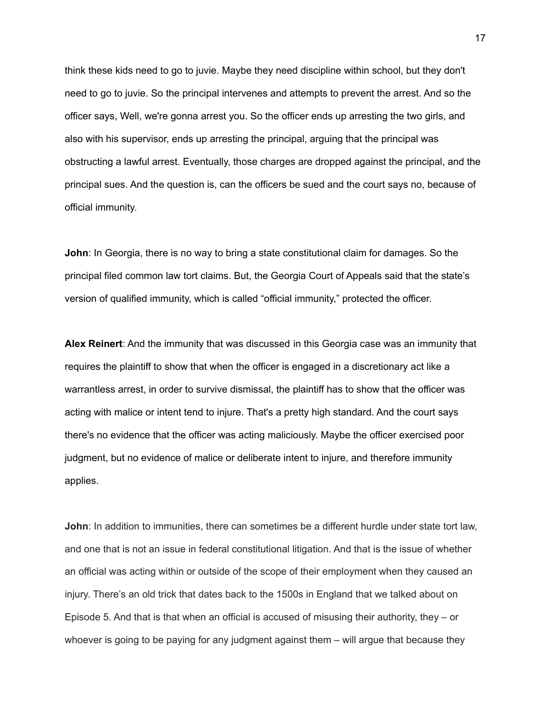think these kids need to go to juvie. Maybe they need discipline within school, but they don't need to go to juvie. So the principal intervenes and attempts to prevent the arrest. And so the officer says, Well, we're gonna arrest you. So the officer ends up arresting the two girls, and also with his supervisor, ends up arresting the principal, arguing that the principal was obstructing a lawful arrest. Eventually, those charges are dropped against the principal, and the principal sues. And the question is, can the officers be sued and the court says no, because of official immunity.

**John**: In Georgia, there is no way to bring a state constitutional claim for damages. So the principal filed common law tort claims. But, the Georgia Court of Appeals said that the state's version of qualified immunity, which is called "official immunity," protected the officer.

**Alex Reinert**: And the immunity that was discussed in this Georgia case was an immunity that requires the plaintiff to show that when the officer is engaged in a discretionary act like a warrantless arrest, in order to survive dismissal, the plaintiff has to show that the officer was acting with malice or intent tend to injure. That's a pretty high standard. And the court says there's no evidence that the officer was acting maliciously. Maybe the officer exercised poor judgment, but no evidence of malice or deliberate intent to injure, and therefore immunity applies.

**John**: In addition to immunities, there can sometimes be a different hurdle under state tort law, and one that is not an issue in federal constitutional litigation. And that is the issue of whether an official was acting within or outside of the scope of their employment when they caused an injury. There's an old trick that dates back to the 1500s in England that we talked about on Episode 5. And that is that when an official is accused of misusing their authority, they – or whoever is going to be paying for any judgment against them – will argue that because they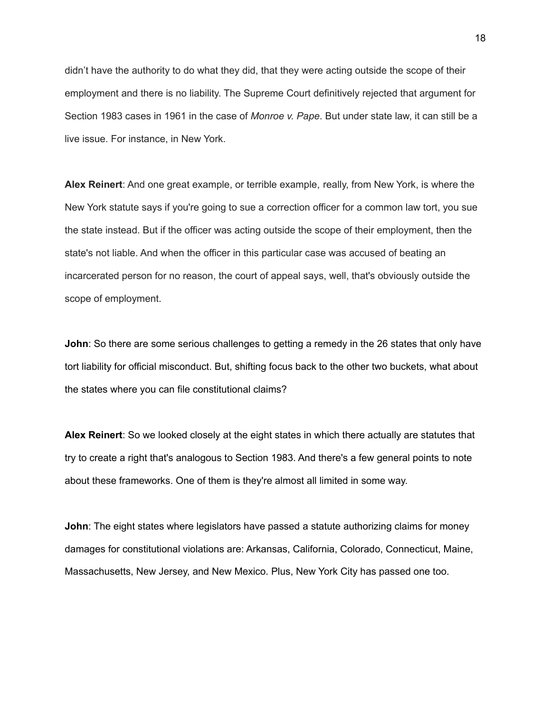didn't have the authority to do what they did, that they were acting outside the scope of their employment and there is no liability. The Supreme Court definitively rejected that argument for Section 1983 cases in 1961 in the case of *Monroe v. Pape*. But under state law, it can still be a live issue. For instance, in New York.

**Alex Reinert**: And one great example, or terrible example, really, from New York, is where the New York statute says if you're going to sue a correction officer for a common law tort, you sue the state instead. But if the officer was acting outside the scope of their employment, then the state's not liable. And when the officer in this particular case was accused of beating an incarcerated person for no reason, the court of appeal says, well, that's obviously outside the scope of employment.

**John**: So there are some serious challenges to getting a remedy in the 26 states that only have tort liability for official misconduct. But, shifting focus back to the other two buckets, what about the states where you can file constitutional claims?

**Alex Reinert**: So we looked closely at the eight states in which there actually are statutes that try to create a right that's analogous to Section 1983. And there's a few general points to note about these frameworks. One of them is they're almost all limited in some way.

**John**: The eight states where legislators have passed a statute authorizing claims for money damages for constitutional violations are: Arkansas, California, Colorado, Connecticut, Maine, Massachusetts, New Jersey, and New Mexico. Plus, New York City has passed one too.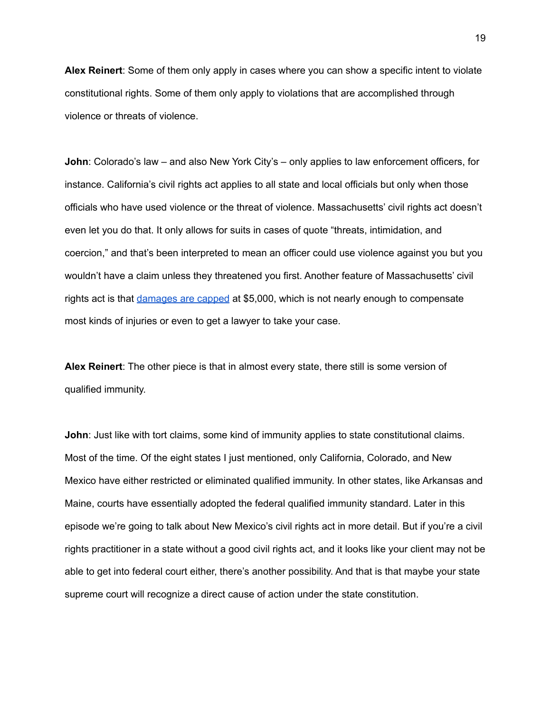**Alex Reinert**: Some of them only apply in cases where you can show a specific intent to violate constitutional rights. Some of them only apply to violations that are accomplished through violence or threats of violence.

**John**: Colorado's law – and also New York City's – only applies to law enforcement officers, for instance. California's civil rights act applies to all state and local officials but only when those officials who have used violence or the threat of violence. Massachusetts' civil rights act doesn't even let you do that. It only allows for suits in cases of quote "threats, intimidation, and coercion," and that's been interpreted to mean an officer could use violence against you but you wouldn't have a claim unless they threatened you first. Another feature of Massachusetts' civil rights act is that [damages](http://lawyersforcivilrights.org/wp-content/uploads/2022/01/QI-Commission-FINAL-Report.pdf) are capped at \$5,000, which is not nearly enough to compensate most kinds of injuries or even to get a lawyer to take your case.

**Alex Reinert**: The other piece is that in almost every state, there still is some version of qualified immunity.

**John**: Just like with tort claims, some kind of immunity applies to state constitutional claims. Most of the time. Of the eight states I just mentioned, only California, Colorado, and New Mexico have either restricted or eliminated qualified immunity. In other states, like Arkansas and Maine, courts have essentially adopted the federal qualified immunity standard. Later in this episode we're going to talk about New Mexico's civil rights act in more detail. But if you're a civil rights practitioner in a state without a good civil rights act, and it looks like your client may not be able to get into federal court either, there's another possibility. And that is that maybe your state supreme court will recognize a direct cause of action under the state constitution.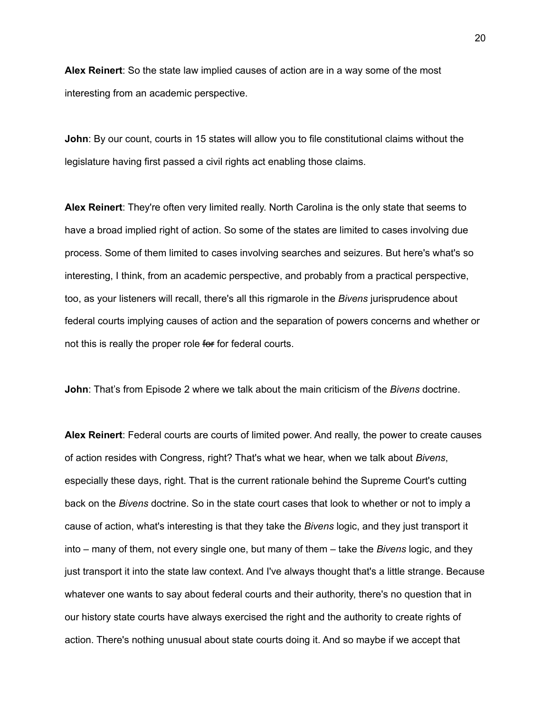**Alex Reinert**: So the state law implied causes of action are in a way some of the most interesting from an academic perspective.

**John**: By our count, courts in 15 states will allow you to file constitutional claims without the legislature having first passed a civil rights act enabling those claims.

**Alex Reinert**: They're often very limited really. North Carolina is the only state that seems to have a broad implied right of action. So some of the states are limited to cases involving due process. Some of them limited to cases involving searches and seizures. But here's what's so interesting, I think, from an academic perspective, and probably from a practical perspective, too, as your listeners will recall, there's all this rigmarole in the *Bivens* jurisprudence about federal courts implying causes of action and the separation of powers concerns and whether or not this is really the proper role for for federal courts.

**John**: That's from Episode 2 where we talk about the main criticism of the *Bivens* doctrine.

**Alex Reinert**: Federal courts are courts of limited power. And really, the power to create causes of action resides with Congress, right? That's what we hear, when we talk about *Bivens*, especially these days, right. That is the current rationale behind the Supreme Court's cutting back on the *Bivens* doctrine. So in the state court cases that look to whether or not to imply a cause of action, what's interesting is that they take the *Bivens* logic, and they just transport it into – many of them, not every single one, but many of them – take the *Bivens* logic, and they just transport it into the state law context. And I've always thought that's a little strange. Because whatever one wants to say about federal courts and their authority, there's no question that in our history state courts have always exercised the right and the authority to create rights of action. There's nothing unusual about state courts doing it. And so maybe if we accept that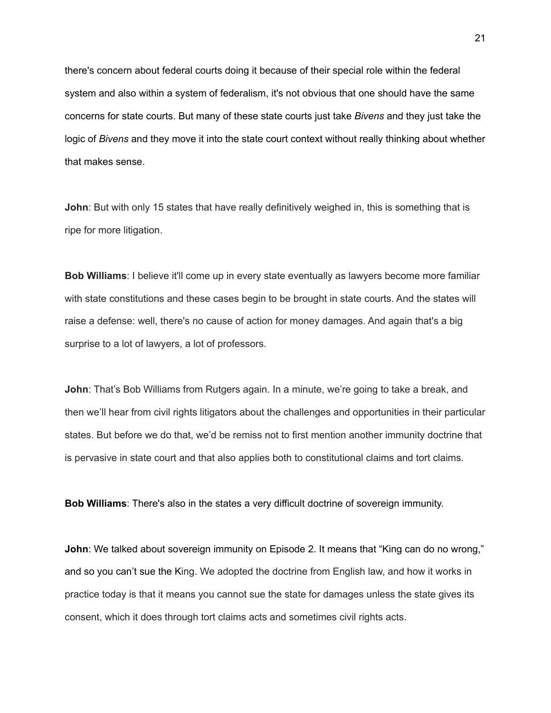there's concern about federal courts doing it because of their special role within the federal system and also within a system of federalism, it's not obvious that one should have the same concerns for state courts. But many of these state courts just take *Bivens* and they just take the logic of *Bivens* and they move it into the state court context without really thinking about whether that makes sense.

**John**: But with only 15 states that have really definitively weighed in, this is something that is ripe for more litigation.

**Bob Williams**: I believe it'll come up in every state eventually as lawyers become more familiar with state constitutions and these cases begin to be brought in state courts. And the states will raise a defense: well, there's no cause of action for money damages. And again that's a big surprise to a lot of lawyers, a lot of professors.

**John**: That's Bob Williams from Rutgers again. In a minute, we're going to take a break, and then we'll hear from civil rights litigators about the challenges and opportunities in their particular states. But before we do that, we'd be remiss not to first mention another immunity doctrine that is pervasive in state court and that also applies both to constitutional claims and tort claims.

**Bob Williams**: There's also in the states a very difficult doctrine of sovereign immunity.

**John**: We talked about sovereign immunity on Episode 2. It means that "King can do no wrong," and so you can't sue the King. We adopted the doctrine from English law, and how it works in practice today is that it means you cannot sue the state for damages unless the state gives its consent, which it does through tort claims acts and sometimes civil rights acts.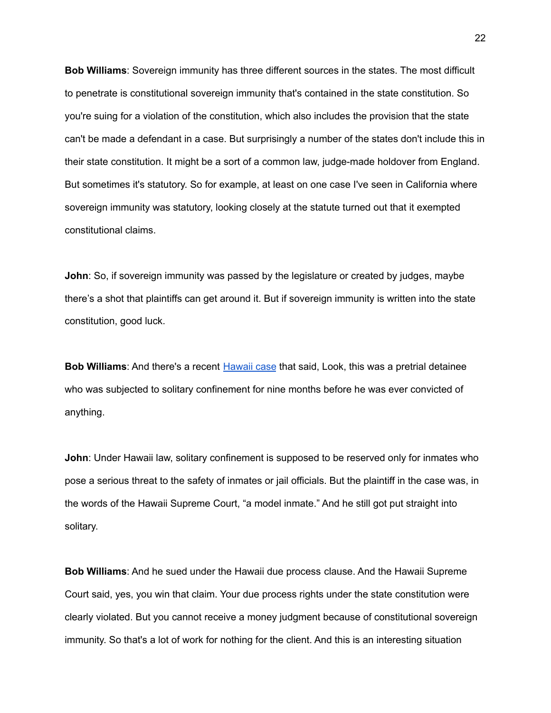**Bob Williams**: Sovereign immunity has three different sources in the states. The most difficult to penetrate is constitutional sovereign immunity that's contained in the state constitution. So you're suing for a violation of the constitution, which also includes the provision that the state can't be made a defendant in a case. But surprisingly a number of the states don't include this in their state constitution. It might be a sort of a common law, judge-made holdover from England. But sometimes it's statutory. So for example, at least on one case I've seen in California where sovereign immunity was statutory, looking closely at the statute turned out that it exempted constitutional claims.

**John**: So, if sovereign immunity was passed by the legislature or created by judges, maybe there's a shot that plaintiffs can get around it. But if sovereign immunity is written into the state constitution, good luck.

**Bob Williams**: And there's a recent [Hawaii](https://casetext.com/case/gordon-v-maesaka-hirata-2) case that said, Look, this was a pretrial detainee who was subjected to solitary confinement for nine months before he was ever convicted of anything.

**John**: Under Hawaii law, solitary confinement is supposed to be reserved only for inmates who pose a serious threat to the safety of inmates or jail officials. But the plaintiff in the case was, in the words of the Hawaii Supreme Court, "a model inmate." And he still got put straight into solitary.

**Bob Williams**: And he sued under the Hawaii due process clause. And the Hawaii Supreme Court said, yes, you win that claim. Your due process rights under the state constitution were clearly violated. But you cannot receive a money judgment because of constitutional sovereign immunity. So that's a lot of work for nothing for the client. And this is an interesting situation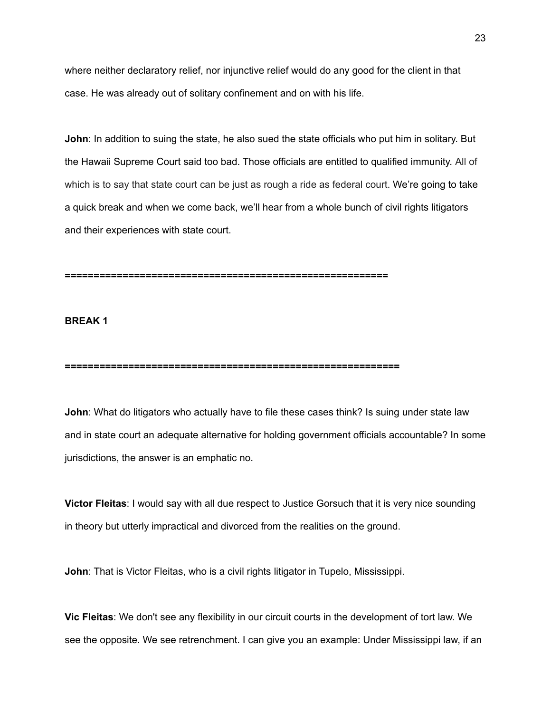where neither declaratory relief, nor injunctive relief would do any good for the client in that case. He was already out of solitary confinement and on with his life.

**John**: In addition to suing the state, he also sued the state officials who put him in solitary. But the Hawaii Supreme Court said too bad. Those officials are entitled to qualified immunity. All of which is to say that state court can be just as rough a ride as federal court. We're going to take a quick break and when we come back, we'll hear from a whole bunch of civil rights litigators and their experiences with state court.

**========================================================**

## **BREAK 1**

**==========================================================**

**John**: What do litigators who actually have to file these cases think? Is suing under state law and in state court an adequate alternative for holding government officials accountable? In some jurisdictions, the answer is an emphatic no.

**Victor Fleitas**: I would say with all due respect to Justice Gorsuch that it is very nice sounding in theory but utterly impractical and divorced from the realities on the ground.

**John**: That is Victor Fleitas, who is a civil rights litigator in Tupelo, Mississippi.

**Vic Fleitas**: We don't see any flexibility in our circuit courts in the development of tort law. We see the opposite. We see retrenchment. I can give you an example: Under Mississippi law, if an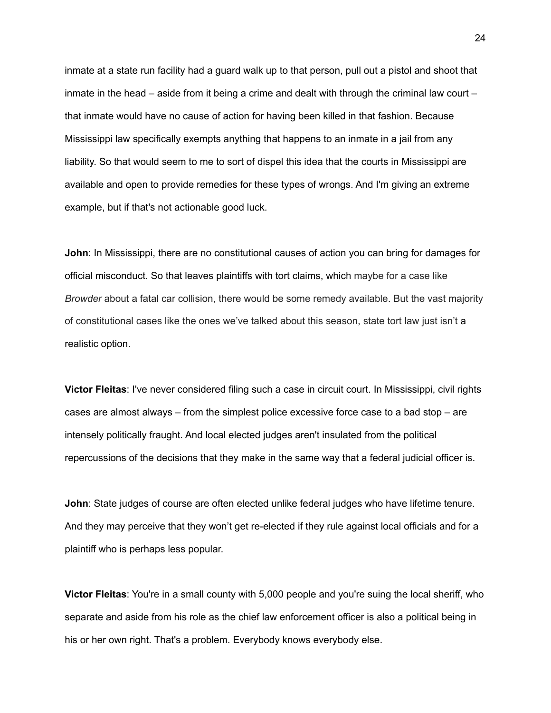inmate at a state run facility had a guard walk up to that person, pull out a pistol and shoot that inmate in the head – aside from it being a crime and dealt with through the criminal law court – that inmate would have no cause of action for having been killed in that fashion. Because Mississippi law specifically exempts anything that happens to an inmate in a jail from any liability. So that would seem to me to sort of dispel this idea that the courts in Mississippi are available and open to provide remedies for these types of wrongs. And I'm giving an extreme example, but if that's not actionable good luck.

**John**: In Mississippi, there are no constitutional causes of action you can bring for damages for official misconduct. So that leaves plaintiffs with tort claims, which maybe for a case like *Browder* about a fatal car collision, there would be some remedy available. But the vast majority of constitutional cases like the ones we've talked about this season, state tort law just isn't a realistic option.

**Victor Fleitas**: I've never considered filing such a case in circuit court. In Mississippi, civil rights cases are almost always – from the simplest police excessive force case to a bad stop – are intensely politically fraught. And local elected judges aren't insulated from the political repercussions of the decisions that they make in the same way that a federal judicial officer is.

**John**: State judges of course are often elected unlike federal judges who have lifetime tenure. And they may perceive that they won't get re-elected if they rule against local officials and for a plaintiff who is perhaps less popular.

**Victor Fleitas**: You're in a small county with 5,000 people and you're suing the local sheriff, who separate and aside from his role as the chief law enforcement officer is also a political being in his or her own right. That's a problem. Everybody knows everybody else.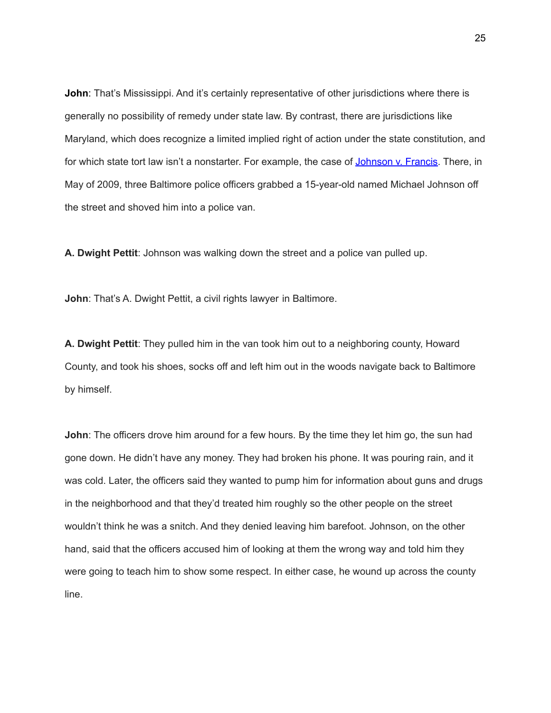**John**: That's Mississippi. And it's certainly representative of other jurisdictions where there is generally no possibility of remedy under state law. By contrast, there are jurisdictions like Maryland, which does recognize a limited implied right of action under the state constitution, and for which state tort law isn't a nonstarter. For example, the case of [Johnson](https://casetext.com/case/francis-v-johnson-6) v. Francis. There, in May of 2009, three Baltimore police officers grabbed a 15-year-old named Michael Johnson off the street and shoved him into a police van.

**A. Dwight Pettit**: Johnson was walking down the street and a police van pulled up.

**John**: That's A. Dwight Pettit, a civil rights lawyer in Baltimore.

**A. Dwight Pettit**: They pulled him in the van took him out to a neighboring county, Howard County, and took his shoes, socks off and left him out in the woods navigate back to Baltimore by himself.

**John**: The officers drove him around for a few hours. By the time they let him go, the sun had gone down. He didn't have any money. They had broken his phone. It was pouring rain, and it was cold. Later, the officers said they wanted to pump him for information about guns and drugs in the neighborhood and that they'd treated him roughly so the other people on the street wouldn't think he was a snitch. And they denied leaving him barefoot. Johnson, on the other hand, said that the officers accused him of looking at them the wrong way and told him they were going to teach him to show some respect. In either case, he wound up across the county line.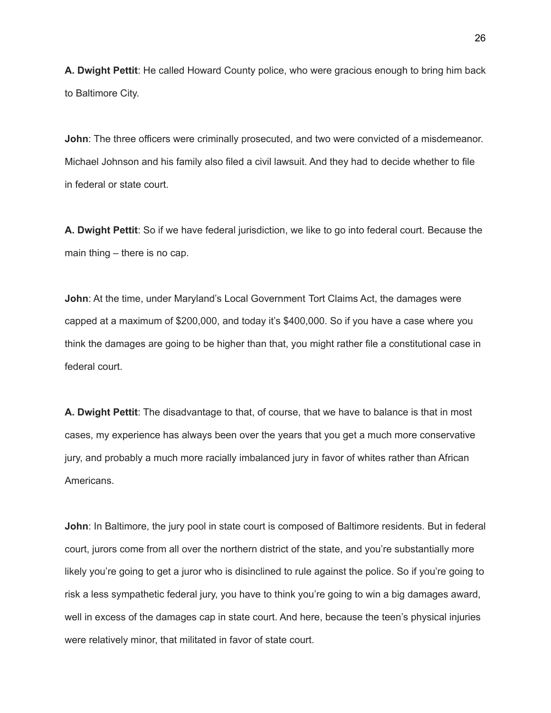**A. Dwight Pettit**: He called Howard County police, who were gracious enough to bring him back to Baltimore City.

**John**: The three officers were criminally prosecuted, and two were convicted of a misdemeanor. Michael Johnson and his family also filed a civil lawsuit. And they had to decide whether to file in federal or state court.

**A. Dwight Pettit**: So if we have federal jurisdiction, we like to go into federal court. Because the main thing – there is no cap.

**John**: At the time, under Maryland's Local Government Tort Claims Act, the damages were capped at a maximum of \$200,000, and today it's \$400,000. So if you have a case where you think the damages are going to be higher than that, you might rather file a constitutional case in federal court.

**A. Dwight Pettit**: The disadvantage to that, of course, that we have to balance is that in most cases, my experience has always been over the years that you get a much more conservative jury, and probably a much more racially imbalanced jury in favor of whites rather than African Americans.

**John**: In Baltimore, the jury pool in state court is composed of Baltimore residents. But in federal court, jurors come from all over the northern district of the state, and you're substantially more likely you're going to get a juror who is disinclined to rule against the police. So if you're going to risk a less sympathetic federal jury, you have to think you're going to win a big damages award, well in excess of the damages cap in state court. And here, because the teen's physical injuries were relatively minor, that militated in favor of state court.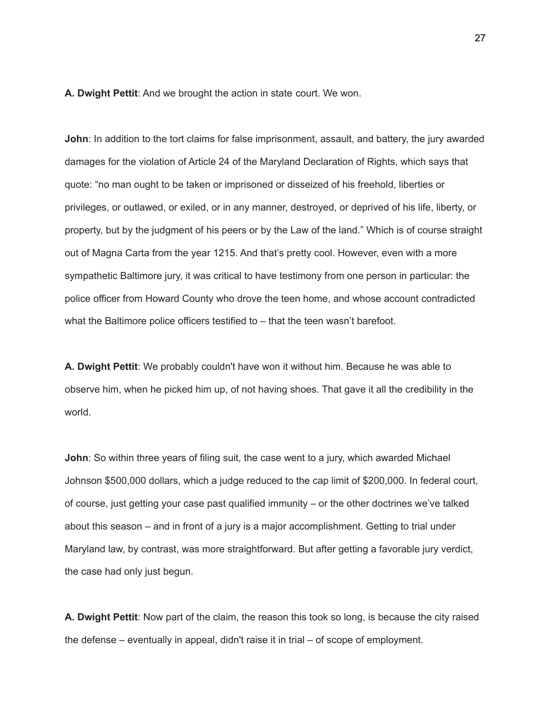**A. Dwight Pettit**: And we brought the action in state court. We won.

**John**: In addition to the tort claims for false imprisonment, assault, and battery, the jury awarded damages for the violation of Article 24 of the Maryland Declaration of Rights, which says that quote: "no man ought to be taken or imprisoned or disseized of his freehold, liberties or privileges, or outlawed, or exiled, or in any manner, destroyed, or deprived of his life, liberty, or property, but by the judgment of his peers or by the Law of the land." Which is of course straight out of Magna Carta from the year 1215. And that's pretty cool. However, even with a more sympathetic Baltimore jury, it was critical to have testimony from one person in particular: the police officer from Howard County who drove the teen home, and whose account contradicted what the Baltimore police officers testified to – that the teen wasn't barefoot.

**A. Dwight Pettit**: We probably couldn't have won it without him. Because he was able to observe him, when he picked him up, of not having shoes. That gave it all the credibility in the world.

**John**: So within three years of filing suit, the case went to a jury, which awarded Michael Johnson \$500,000 dollars, which a judge reduced to the cap limit of \$200,000. In federal court, of course, just getting your case past qualified immunity – or the other doctrines we've talked about this season – and in front of a jury is a major accomplishment. Getting to trial under Maryland law, by contrast, was more straightforward. But after getting a favorable jury verdict, the case had only just begun.

**A. Dwight Pettit**: Now part of the claim, the reason this took so long, is because the city raised the defense – eventually in appeal, didn't raise it in trial – of scope of employment.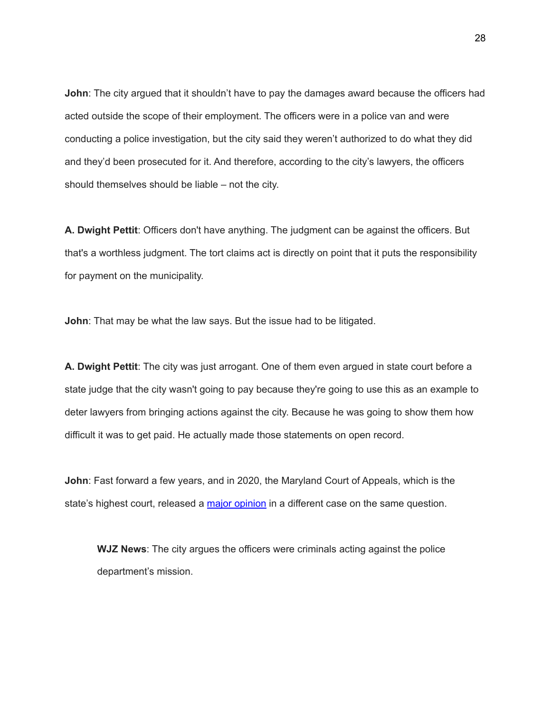**John**: The city argued that it shouldn't have to pay the damages award because the officers had acted outside the scope of their employment. The officers were in a police van and were conducting a police investigation, but the city said they weren't authorized to do what they did and they'd been prosecuted for it. And therefore, according to the city's lawyers, the officers should themselves should be liable – not the city.

**A. Dwight Pettit**: Officers don't have anything. The judgment can be against the officers. But that's a worthless judgment. The tort claims act is directly on point that it puts the responsibility for payment on the municipality.

**John**: That may be what the law says. But the issue had to be litigated.

**A. Dwight Pettit**: The city was just arrogant. One of them even argued in state court before a state judge that the city wasn't going to pay because they're going to use this as an example to deter lawyers from bringing actions against the city. Because he was going to show them how difficult it was to get paid. He actually made those statements on open record.

**John**: Fast forward a few years, and in 2020, the Maryland Court of Appeals, which is the state's highest court, released a major [opinion](https://mdcourts.gov/data/opinions/coa/2020/6a19m.pdf) in a different case on the same question.

**WJZ News**: The city argues the officers were criminals acting against the police department's mission.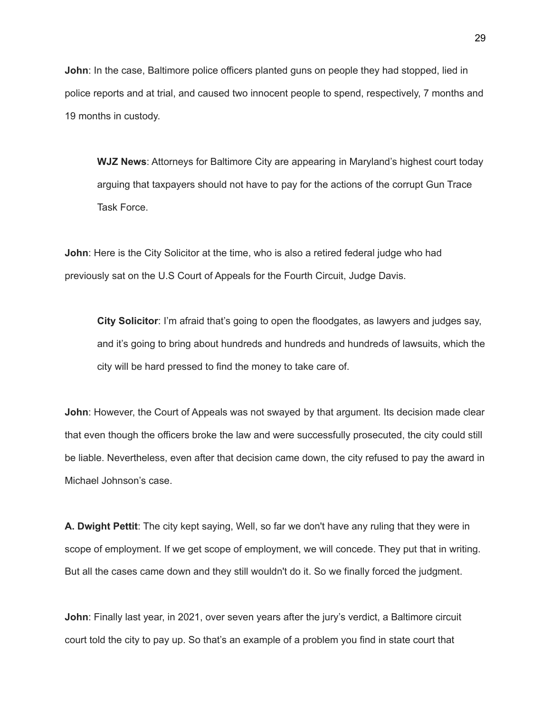**John**: In the case, Baltimore police officers planted guns on people they had stopped, lied in police reports and at trial, and caused two innocent people to spend, respectively, 7 months and 19 months in custody.

**WJZ News**: Attorneys for Baltimore City are appearing in Maryland's highest court today arguing that taxpayers should not have to pay for the actions of the corrupt Gun Trace Task Force.

**John**: Here is the City Solicitor at the time, who is also a retired federal judge who had previously sat on the U.S Court of Appeals for the Fourth Circuit, Judge Davis.

**City Solicitor**: I'm afraid that's going to open the floodgates, as lawyers and judges say, and it's going to bring about hundreds and hundreds and hundreds of lawsuits, which the city will be hard pressed to find the money to take care of.

**John:** However, the Court of Appeals was not swayed by that argument. Its decision made clear that even though the officers broke the law and were successfully prosecuted, the city could still be liable. Nevertheless, even after that decision came down, the city refused to pay the award in Michael Johnson's case.

**A. Dwight Pettit**: The city kept saying, Well, so far we don't have any ruling that they were in scope of employment. If we get scope of employment, we will concede. They put that in writing. But all the cases came down and they still wouldn't do it. So we finally forced the judgment.

**John**: Finally last year, in 2021, over seven years after the jury's verdict, a Baltimore circuit court told the city to pay up. So that's an example of a problem you find in state court that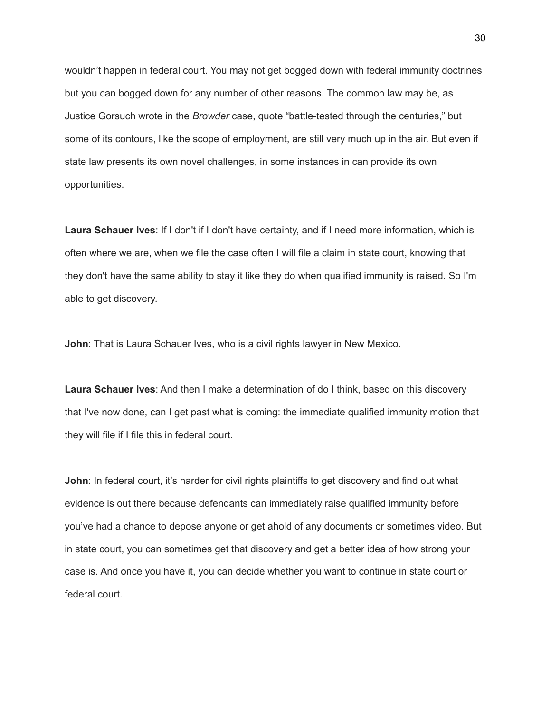wouldn't happen in federal court. You may not get bogged down with federal immunity doctrines but you can bogged down for any number of other reasons. The common law may be, as Justice Gorsuch wrote in the *Browder* case, quote "battle-tested through the centuries," but some of its contours, like the scope of employment, are still very much up in the air. But even if state law presents its own novel challenges, in some instances in can provide its own opportunities.

**Laura Schauer Ives**: If I don't if I don't have certainty, and if I need more information, which is often where we are, when we file the case often I will file a claim in state court, knowing that they don't have the same ability to stay it like they do when qualified immunity is raised. So I'm able to get discovery.

**John**: That is Laura Schauer Ives, who is a civil rights lawyer in New Mexico.

**Laura Schauer Ives**: And then I make a determination of do I think, based on this discovery that I've now done, can I get past what is coming: the immediate qualified immunity motion that they will file if I file this in federal court.

**John**: In federal court, it's harder for civil rights plaintiffs to get discovery and find out what evidence is out there because defendants can immediately raise qualified immunity before you've had a chance to depose anyone or get ahold of any documents or sometimes video. But in state court, you can sometimes get that discovery and get a better idea of how strong your case is. And once you have it, you can decide whether you want to continue in state court or federal court.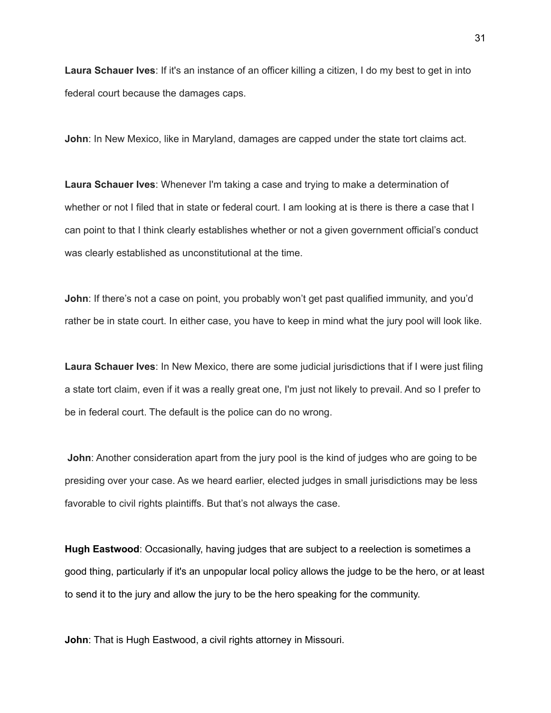**Laura Schauer Ives**: If it's an instance of an officer killing a citizen, I do my best to get in into federal court because the damages caps.

**John**: In New Mexico, like in Maryland, damages are capped under the state tort claims act.

**Laura Schauer Ives**: Whenever I'm taking a case and trying to make a determination of whether or not I filed that in state or federal court. I am looking at is there is there a case that I can point to that I think clearly establishes whether or not a given government official's conduct was clearly established as unconstitutional at the time.

**John**: If there's not a case on point, you probably won't get past qualified immunity, and you'd rather be in state court. In either case, you have to keep in mind what the jury pool will look like.

**Laura Schauer Ives**: In New Mexico, there are some judicial jurisdictions that if I were just filing a state tort claim, even if it was a really great one, I'm just not likely to prevail. And so I prefer to be in federal court. The default is the police can do no wrong.

**John**: Another consideration apart from the jury pool is the kind of judges who are going to be presiding over your case. As we heard earlier, elected judges in small jurisdictions may be less favorable to civil rights plaintiffs. But that's not always the case.

**Hugh Eastwood**: Occasionally, having judges that are subject to a reelection is sometimes a good thing, particularly if it's an unpopular local policy allows the judge to be the hero, or at least to send it to the jury and allow the jury to be the hero speaking for the community.

**John**: That is Hugh Eastwood, a civil rights attorney in Missouri.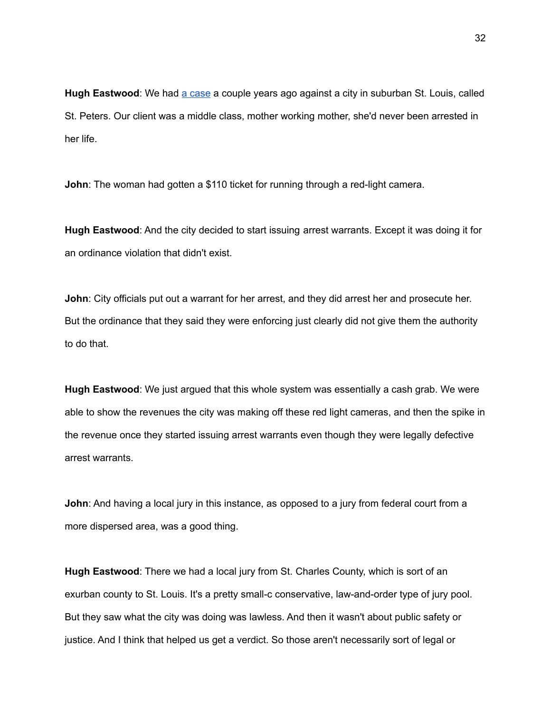**Hugh Eastwood**: We had a [case](https://www.thenewspaper.com/rlc/docs/2020/mo-rlcarrest.pdf) a couple years ago against a city in suburban St. Louis, called St. Peters. Our client was a middle class, mother working mother, she'd never been arrested in her life.

**John**: The woman had gotten a \$110 ticket for running through a red-light camera.

**Hugh Eastwood**: And the city decided to start issuing arrest warrants. Except it was doing it for an ordinance violation that didn't exist.

**John**: City officials put out a warrant for her arrest, and they did arrest her and prosecute her. But the ordinance that they said they were enforcing just clearly did not give them the authority to do that.

**Hugh Eastwood**: We just argued that this whole system was essentially a cash grab. We were able to show the revenues the city was making off these red light cameras, and then the spike in the revenue once they started issuing arrest warrants even though they were legally defective arrest warrants.

**John**: And having a local jury in this instance, as opposed to a jury from federal court from a more dispersed area, was a good thing.

**Hugh Eastwood**: There we had a local jury from St. Charles County, which is sort of an exurban county to St. Louis. It's a pretty small-c conservative, law-and-order type of jury pool. But they saw what the city was doing was lawless. And then it wasn't about public safety or justice. And I think that helped us get a verdict. So those aren't necessarily sort of legal or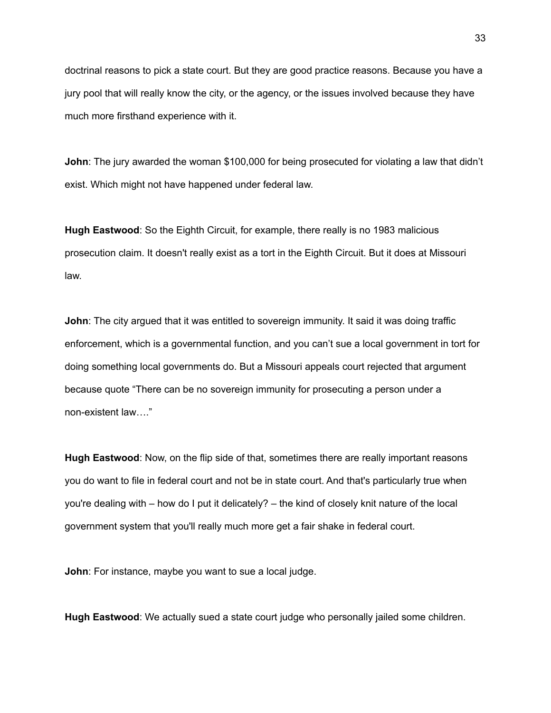doctrinal reasons to pick a state court. But they are good practice reasons. Because you have a jury pool that will really know the city, or the agency, or the issues involved because they have much more firsthand experience with it.

**John**: The jury awarded the woman \$100,000 for being prosecuted for violating a law that didn't exist. Which might not have happened under federal law.

**Hugh Eastwood**: So the Eighth Circuit, for example, there really is no 1983 malicious prosecution claim. It doesn't really exist as a tort in the Eighth Circuit. But it does at Missouri law.

**John**: The city argued that it was entitled to sovereign immunity. It said it was doing traffic enforcement, which is a governmental function, and you can't sue a local government in tort for doing something local governments do. But a Missouri appeals court rejected that argument because quote "There can be no sovereign immunity for prosecuting a person under a non-existent law…."

**Hugh Eastwood**: Now, on the flip side of that, sometimes there are really important reasons you do want to file in federal court and not be in state court. And that's particularly true when you're dealing with – how do I put it delicately? – the kind of closely knit nature of the local government system that you'll really much more get a fair shake in federal court.

**John**: For instance, maybe you want to sue a local judge.

**Hugh Eastwood**: We actually sued a state court judge who personally jailed some children.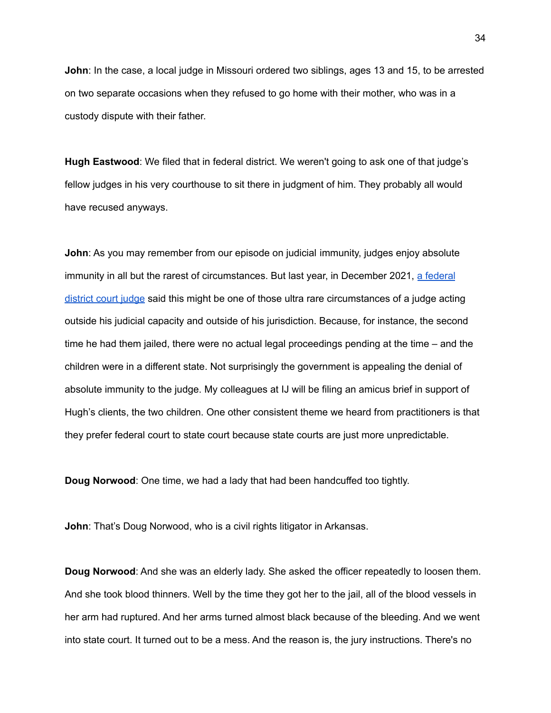**John**: In the case, a local judge in Missouri ordered two siblings, ages 13 and 15, to be arrested on two separate occasions when they refused to go home with their mother, who was in a custody dispute with their father.

**Hugh Eastwood**: We filed that in federal district. We weren't going to ask one of that judge's fellow judges in his very courthouse to sit there in judgment of him. They probably all would have recused anyways.

**John**: As you may remember from our episode on judicial immunity, judges enjoy absolute immunity in all but the rarest of circumstances. But last year, in December 2021, a [federal](https://scholar.google.com/scholar_case?case=16691692662859747125&hl=en&as_sdt=6&as_vis=1&oi=scholarr) [district](https://scholar.google.com/scholar_case?case=16691692662859747125&hl=en&as_sdt=6&as_vis=1&oi=scholarr) court judge said this might be one of those ultra rare circumstances of a judge acting outside his judicial capacity and outside of his jurisdiction. Because, for instance, the second time he had them jailed, there were no actual legal proceedings pending at the time – and the children were in a different state. Not surprisingly the government is appealing the denial of absolute immunity to the judge. My colleagues at IJ will be filing an amicus brief in support of Hugh's clients, the two children. One other consistent theme we heard from practitioners is that they prefer federal court to state court because state courts are just more unpredictable.

**Doug Norwood**: One time, we had a lady that had been handcuffed too tightly.

**John: That's Doug Norwood, who is a civil rights litigator in Arkansas.** 

**Doug Norwood**: And she was an elderly lady. She asked the officer repeatedly to loosen them. And she took blood thinners. Well by the time they got her to the jail, all of the blood vessels in her arm had ruptured. And her arms turned almost black because of the bleeding. And we went into state court. It turned out to be a mess. And the reason is, the jury instructions. There's no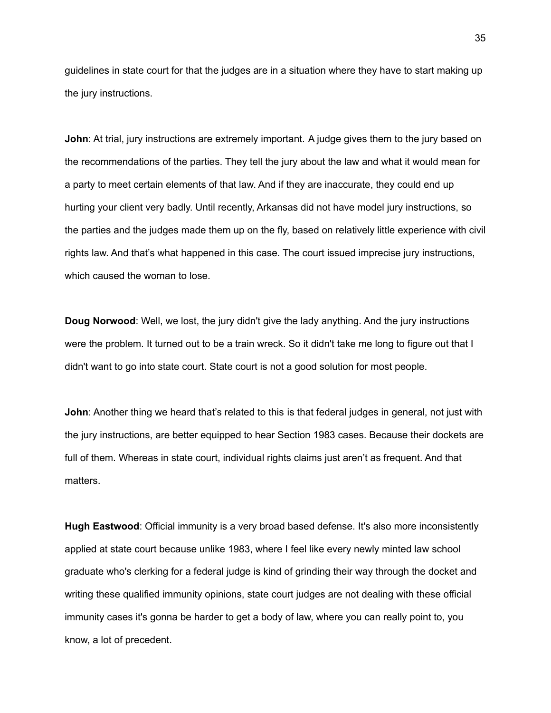guidelines in state court for that the judges are in a situation where they have to start making up the jury instructions.

**John**: At trial, jury instructions are extremely important. A judge gives them to the jury based on the recommendations of the parties. They tell the jury about the law and what it would mean for a party to meet certain elements of that law. And if they are inaccurate, they could end up hurting your client very badly. Until recently, Arkansas did not have model jury instructions, so the parties and the judges made them up on the fly, based on relatively little experience with civil rights law. And that's what happened in this case. The court issued imprecise jury instructions, which caused the woman to lose.

**Doug Norwood**: Well, we lost, the jury didn't give the lady anything. And the jury instructions were the problem. It turned out to be a train wreck. So it didn't take me long to figure out that I didn't want to go into state court. State court is not a good solution for most people.

**John**: Another thing we heard that's related to this is that federal judges in general, not just with the jury instructions, are better equipped to hear Section 1983 cases. Because their dockets are full of them. Whereas in state court, individual rights claims just aren't as frequent. And that matters.

**Hugh Eastwood**: Official immunity is a very broad based defense. It's also more inconsistently applied at state court because unlike 1983, where I feel like every newly minted law school graduate who's clerking for a federal judge is kind of grinding their way through the docket and writing these qualified immunity opinions, state court judges are not dealing with these official immunity cases it's gonna be harder to get a body of law, where you can really point to, you know, a lot of precedent.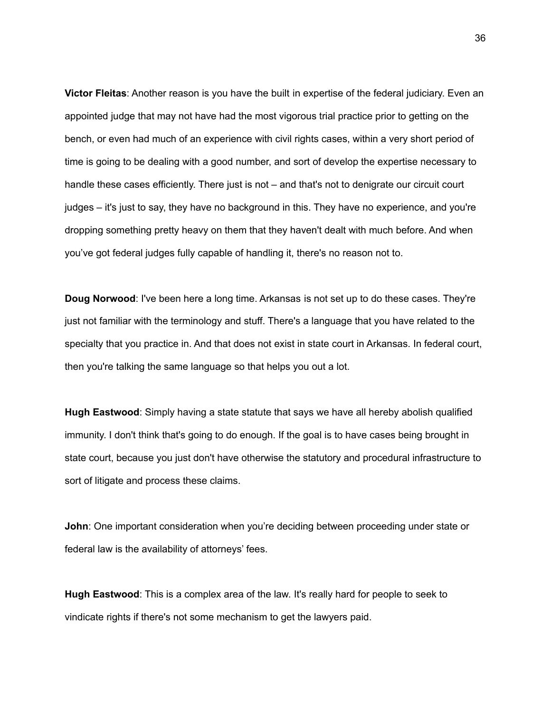**Victor Fleitas**: Another reason is you have the built in expertise of the federal judiciary. Even an appointed judge that may not have had the most vigorous trial practice prior to getting on the bench, or even had much of an experience with civil rights cases, within a very short period of time is going to be dealing with a good number, and sort of develop the expertise necessary to handle these cases efficiently. There just is not – and that's not to denigrate our circuit court judges – it's just to say, they have no background in this. They have no experience, and you're dropping something pretty heavy on them that they haven't dealt with much before. And when you've got federal judges fully capable of handling it, there's no reason not to.

**Doug Norwood**: I've been here a long time. Arkansas is not set up to do these cases. They're just not familiar with the terminology and stuff. There's a language that you have related to the specialty that you practice in. And that does not exist in state court in Arkansas. In federal court, then you're talking the same language so that helps you out a lot.

**Hugh Eastwood**: Simply having a state statute that says we have all hereby abolish qualified immunity. I don't think that's going to do enough. If the goal is to have cases being brought in state court, because you just don't have otherwise the statutory and procedural infrastructure to sort of litigate and process these claims.

**John**: One important consideration when you're deciding between proceeding under state or federal law is the availability of attorneys' fees.

**Hugh Eastwood**: This is a complex area of the law. It's really hard for people to seek to vindicate rights if there's not some mechanism to get the lawyers paid.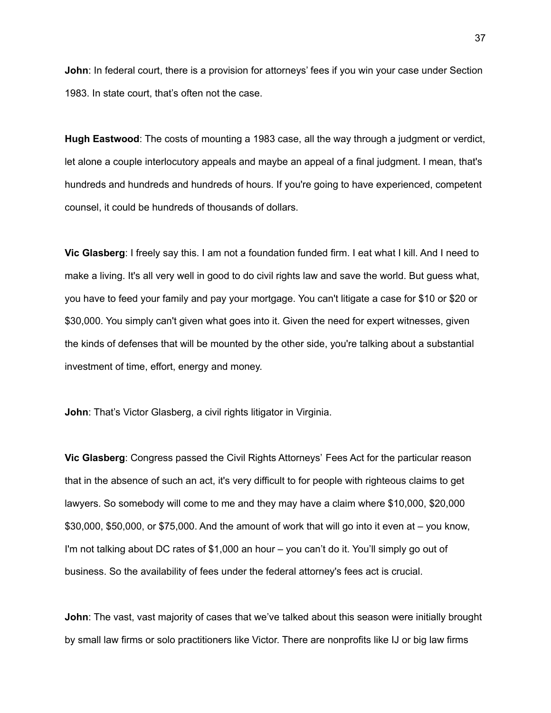**John**: In federal court, there is a provision for attorneys' fees if you win your case under Section 1983. In state court, that's often not the case.

**Hugh Eastwood**: The costs of mounting a 1983 case, all the way through a judgment or verdict, let alone a couple interlocutory appeals and maybe an appeal of a final judgment. I mean, that's hundreds and hundreds and hundreds of hours. If you're going to have experienced, competent counsel, it could be hundreds of thousands of dollars.

**Vic Glasberg**: I freely say this. I am not a foundation funded firm. I eat what I kill. And I need to make a living. It's all very well in good to do civil rights law and save the world. But guess what, you have to feed your family and pay your mortgage. You can't litigate a case for \$10 or \$20 or \$30,000. You simply can't given what goes into it. Given the need for expert witnesses, given the kinds of defenses that will be mounted by the other side, you're talking about a substantial investment of time, effort, energy and money.

**John: That's Victor Glasberg, a civil rights litigator in Virginia.** 

**Vic Glasberg**: Congress passed the Civil Rights Attorneys' Fees Act for the particular reason that in the absence of such an act, it's very difficult to for people with righteous claims to get lawyers. So somebody will come to me and they may have a claim where \$10,000, \$20,000 \$30,000, \$50,000, or \$75,000. And the amount of work that will go into it even at – you know, I'm not talking about DC rates of \$1,000 an hour – you can't do it. You'll simply go out of business. So the availability of fees under the federal attorney's fees act is crucial.

**John**: The vast, vast majority of cases that we've talked about this season were initially brought by small law firms or solo practitioners like Victor. There are nonprofits like IJ or big law firms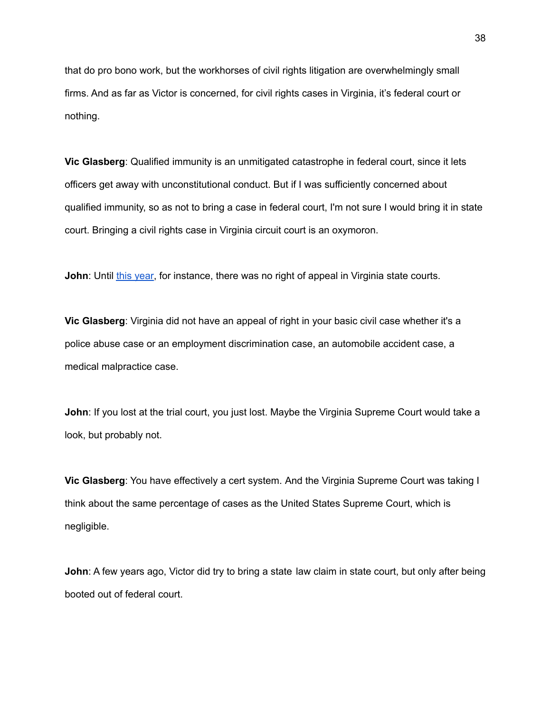that do pro bono work, but the workhorses of civil rights litigation are overwhelmingly small firms. And as far as Victor is concerned, for civil rights cases in Virginia, it's federal court or nothing.

**Vic Glasberg**: Qualified immunity is an unmitigated catastrophe in federal court, since it lets officers get away with unconstitutional conduct. But if I was sufficiently concerned about qualified immunity, so as not to bring a case in federal court, I'm not sure I would bring it in state court. Bringing a civil rights case in Virginia circuit court is an oxymoron.

**John**: Until this [year,](https://lis.virginia.gov/cgi-bin/legp604.exe?212+sum+SB1261) for instance, there was no right of appeal in Virginia state courts.

**Vic Glasberg**: Virginia did not have an appeal of right in your basic civil case whether it's a police abuse case or an employment discrimination case, an automobile accident case, a medical malpractice case.

**John**: If you lost at the trial court, you just lost. Maybe the Virginia Supreme Court would take a look, but probably not.

**Vic Glasberg**: You have effectively a cert system. And the Virginia Supreme Court was taking I think about the same percentage of cases as the United States Supreme Court, which is negligible.

**John**: A few years ago, Victor did try to bring a state law claim in state court, but only after being booted out of federal court.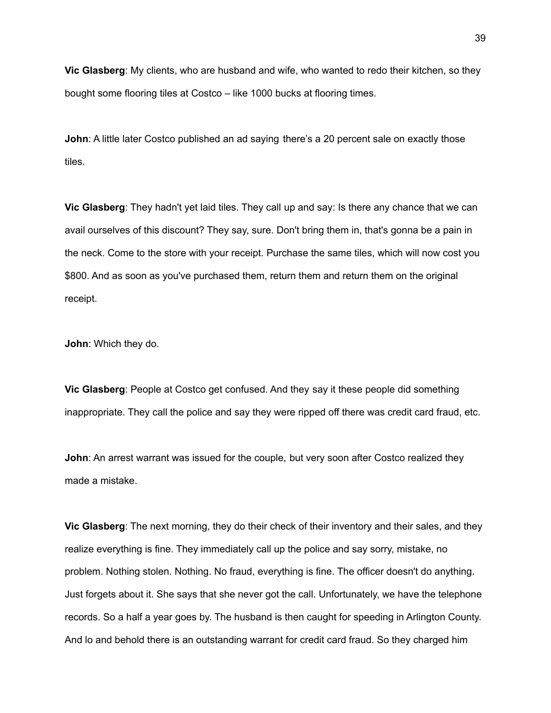**Vic Glasberg**: My clients, who are husband and wife, who wanted to redo their kitchen, so they bought some flooring tiles at Costco – like 1000 bucks at flooring times.

**John:** A little later Costco published an ad saying there's a 20 percent sale on exactly those tiles.

**Vic Glasberg**: They hadn't yet laid tiles. They call up and say: Is there any chance that we can avail ourselves of this discount? They say, sure. Don't bring them in, that's gonna be a pain in the neck. Come to the store with your receipt. Purchase the same tiles, which will now cost you \$800. And as soon as you've purchased them, return them and return them on the original receipt.

**John**: Which they do.

**Vic Glasberg**: People at Costco get confused. And they say it these people did something inappropriate. They call the police and say they were ripped off there was credit card fraud, etc.

**John**: An arrest warrant was issued for the couple, but very soon after Costco realized they made a mistake.

**Vic Glasberg**: The next morning, they do their check of their inventory and their sales, and they realize everything is fine. They immediately call up the police and say sorry, mistake, no problem. Nothing stolen. Nothing. No fraud, everything is fine. The officer doesn't do anything. Just forgets about it. She says that she never got the call. Unfortunately, we have the telephone records. So a half a year goes by. The husband is then caught for speeding in Arlington County. And lo and behold there is an outstanding warrant for credit card fraud. So they charged him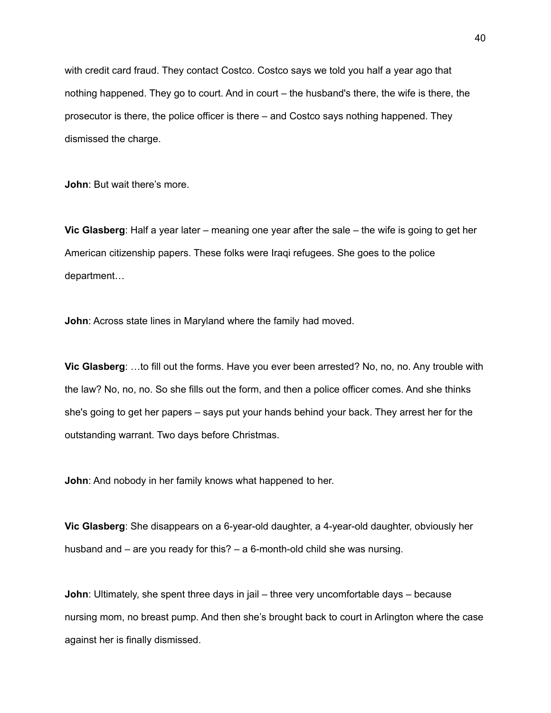with credit card fraud. They contact Costco. Costco says we told you half a year ago that nothing happened. They go to court. And in court – the husband's there, the wife is there, the prosecutor is there, the police officer is there – and Costco says nothing happened. They dismissed the charge.

**John**: But wait there's more.

**Vic Glasberg**: Half a year later – meaning one year after the sale – the wife is going to get her American citizenship papers. These folks were Iraqi refugees. She goes to the police department…

**John**: Across state lines in Maryland where the family had moved.

**Vic Glasberg**: …to fill out the forms. Have you ever been arrested? No, no, no. Any trouble with the law? No, no, no. So she fills out the form, and then a police officer comes. And she thinks she's going to get her papers – says put your hands behind your back. They arrest her for the outstanding warrant. Two days before Christmas.

**John**: And nobody in her family knows what happened to her.

**Vic Glasberg**: She disappears on a 6-year-old daughter, a 4-year-old daughter, obviously her husband and – are you ready for this? – a 6-month-old child she was nursing.

**John**: Ultimately, she spent three days in jail – three very uncomfortable days – because nursing mom, no breast pump. And then she's brought back to court in Arlington where the case against her is finally dismissed.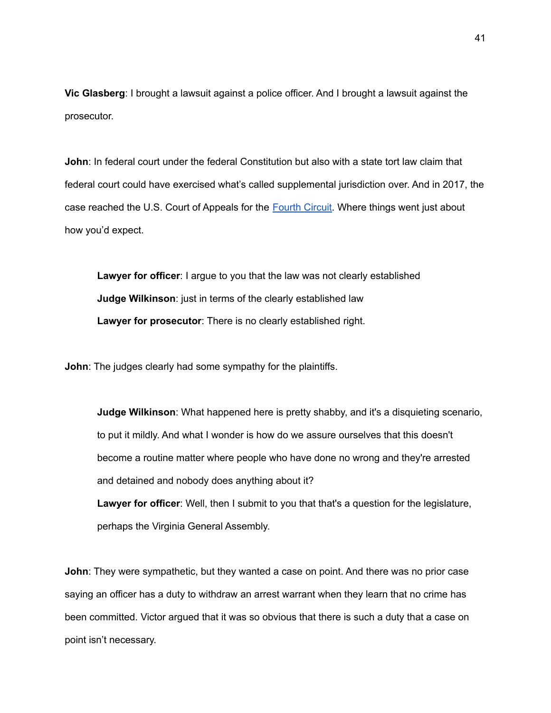**Vic Glasberg**: I brought a lawsuit against a police officer. And I brought a lawsuit against the prosecutor.

**John**: In federal court under the federal Constitution but also with a state tort law claim that federal court could have exercised what's called supplemental jurisdiction over. And in 2017, the case reached the U.S. Court of Appeals for the [Fourth](https://www.ca4.uscourts.gov/Opinions/Published/161420.P.pdf) Circuit. Where things went just about how you'd expect.

**Lawyer for officer**: I argue to you that the law was not clearly established **Judge Wilkinson**: just in terms of the clearly established law **Lawyer for prosecutor**: There is no clearly established right.

**John**: The judges clearly had some sympathy for the plaintiffs.

**Judge Wilkinson**: What happened here is pretty shabby, and it's a disquieting scenario, to put it mildly. And what I wonder is how do we assure ourselves that this doesn't become a routine matter where people who have done no wrong and they're arrested and detained and nobody does anything about it?

**Lawyer for officer**: Well, then I submit to you that that's a question for the legislature, perhaps the Virginia General Assembly.

**John**: They were sympathetic, but they wanted a case on point. And there was no prior case saying an officer has a duty to withdraw an arrest warrant when they learn that no crime has been committed. Victor argued that it was so obvious that there is such a duty that a case on point isn't necessary.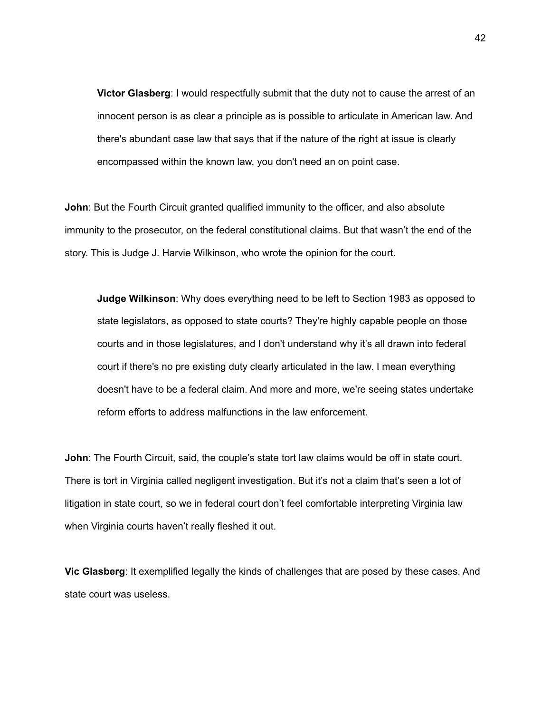**Victor Glasberg**: I would respectfully submit that the duty not to cause the arrest of an innocent person is as clear a principle as is possible to articulate in American law. And there's abundant case law that says that if the nature of the right at issue is clearly encompassed within the known law, you don't need an on point case.

**John**: But the Fourth Circuit granted qualified immunity to the officer, and also absolute immunity to the prosecutor, on the federal constitutional claims. But that wasn't the end of the story. This is Judge J. Harvie Wilkinson, who wrote the opinion for the court.

**Judge Wilkinson**: Why does everything need to be left to Section 1983 as opposed to state legislators, as opposed to state courts? They're highly capable people on those courts and in those legislatures, and I don't understand why it's all drawn into federal court if there's no pre existing duty clearly articulated in the law. I mean everything doesn't have to be a federal claim. And more and more, we're seeing states undertake reform efforts to address malfunctions in the law enforcement.

**John**: The Fourth Circuit, said, the couple's state tort law claims would be off in state court. There is tort in Virginia called negligent investigation. But it's not a claim that's seen a lot of litigation in state court, so we in federal court don't feel comfortable interpreting Virginia law when Virginia courts haven't really fleshed it out.

**Vic Glasberg**: It exemplified legally the kinds of challenges that are posed by these cases. And state court was useless.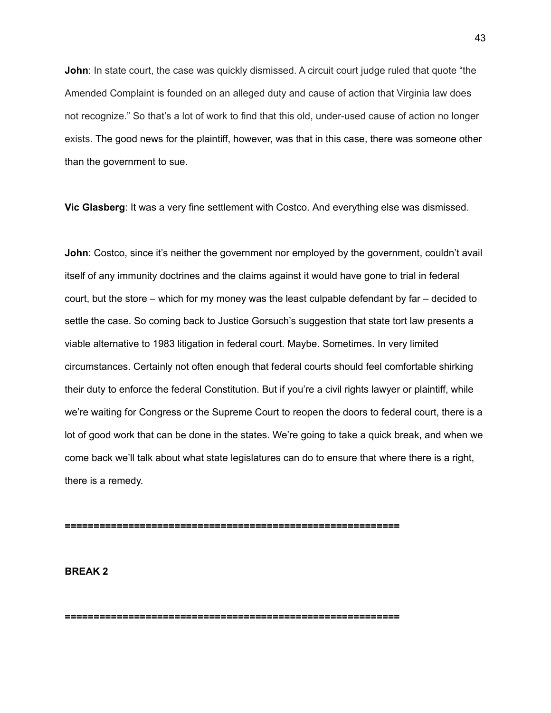**John**: In state court, the case was quickly dismissed. A circuit court judge ruled that quote "the Amended Complaint is founded on an alleged duty and cause of action that Virginia law does not recognize." So that's a lot of work to find that this old, under-used cause of action no longer exists. The good news for the plaintiff, however, was that in this case, there was someone other than the government to sue.

**Vic Glasberg**: It was a very fine settlement with Costco. And everything else was dismissed.

**John**: Costco, since it's neither the government nor employed by the government, couldn't avail itself of any immunity doctrines and the claims against it would have gone to trial in federal court, but the store – which for my money was the least culpable defendant by far – decided to settle the case. So coming back to Justice Gorsuch's suggestion that state tort law presents a viable alternative to 1983 litigation in federal court. Maybe. Sometimes. In very limited circumstances. Certainly not often enough that federal courts should feel comfortable shirking their duty to enforce the federal Constitution. But if you're a civil rights lawyer or plaintiff, while we're waiting for Congress or the Supreme Court to reopen the doors to federal court, there is a lot of good work that can be done in the states. We're going to take a quick break, and when we come back we'll talk about what state legislatures can do to ensure that where there is a right, there is a remedy.

**==========================================================**

**==========================================================**

**BREAK 2**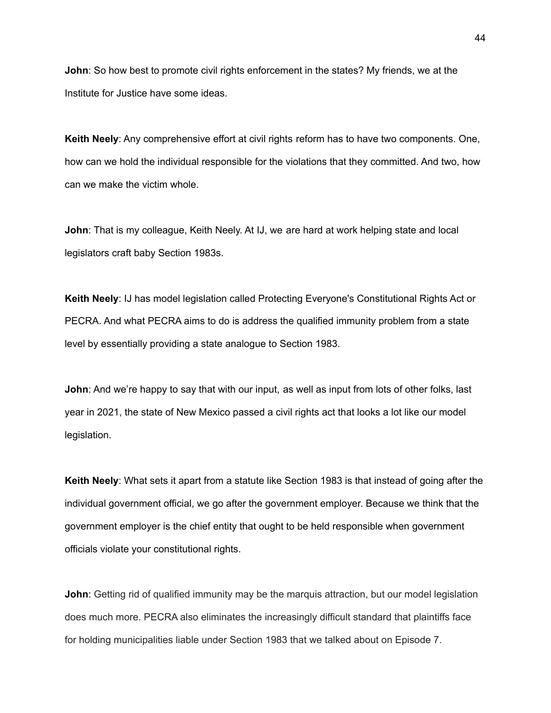**John**: So how best to promote civil rights enforcement in the states? My friends, we at the Institute for Justice have some ideas.

**Keith Neely**: Any comprehensive effort at civil rights reform has to have two components. One, how can we hold the individual responsible for the violations that they committed. And two, how can we make the victim whole.

**John**: That is my colleague, Keith Neely. At IJ, we are hard at work helping state and local legislators craft baby Section 1983s.

**Keith Neely**: IJ has model legislation called Protecting Everyone's Constitutional Rights Act or PECRA. And what PECRA aims to do is address the qualified immunity problem from a state level by essentially providing a state analogue to Section 1983.

**John**: And we're happy to say that with our input, as well as input from lots of other folks, last year in 2021, the state of New Mexico passed a civil rights act that looks a lot like our model legislation.

**Keith Neely**: What sets it apart from a statute like Section 1983 is that instead of going after the individual government official, we go after the government employer. Because we think that the government employer is the chief entity that ought to be held responsible when government officials violate your constitutional rights.

**John**: Getting rid of qualified immunity may be the marquis attraction, but our model legislation does much more. PECRA also eliminates the increasingly difficult standard that plaintiffs face for holding municipalities liable under Section 1983 that we talked about on Episode 7.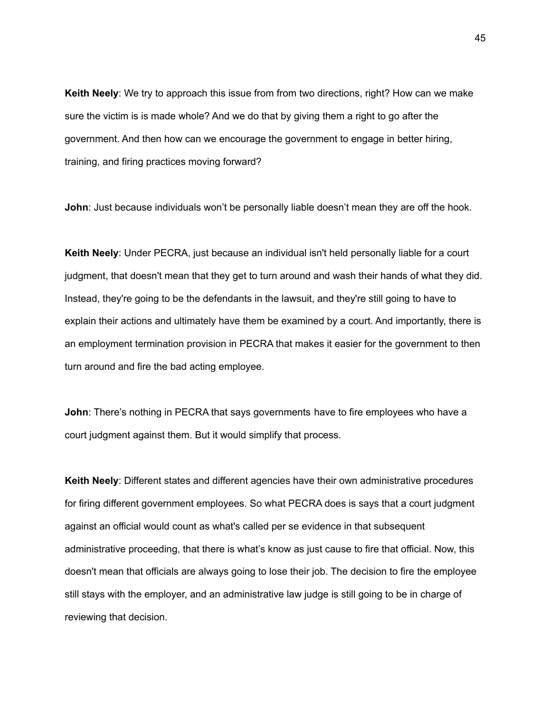**Keith Neely**: We try to approach this issue from from two directions, right? How can we make sure the victim is is made whole? And we do that by giving them a right to go after the government. And then how can we encourage the government to engage in better hiring, training, and firing practices moving forward?

**John**: Just because individuals won't be personally liable doesn't mean they are off the hook.

**Keith Neely**: Under PECRA, just because an individual isn't held personally liable for a court judgment, that doesn't mean that they get to turn around and wash their hands of what they did. Instead, they're going to be the defendants in the lawsuit, and they're still going to have to explain their actions and ultimately have them be examined by a court. And importantly, there is an employment termination provision in PECRA that makes it easier for the government to then turn around and fire the bad acting employee.

**John**: There's nothing in PECRA that says governments have to fire employees who have a court judgment against them. But it would simplify that process.

**Keith Neely**: Different states and different agencies have their own administrative procedures for firing different government employees. So what PECRA does is says that a court judgment against an official would count as what's called per se evidence in that subsequent administrative proceeding, that there is what's know as just cause to fire that official. Now, this doesn't mean that officials are always going to lose their job. The decision to fire the employee still stays with the employer, and an administrative law judge is still going to be in charge of reviewing that decision.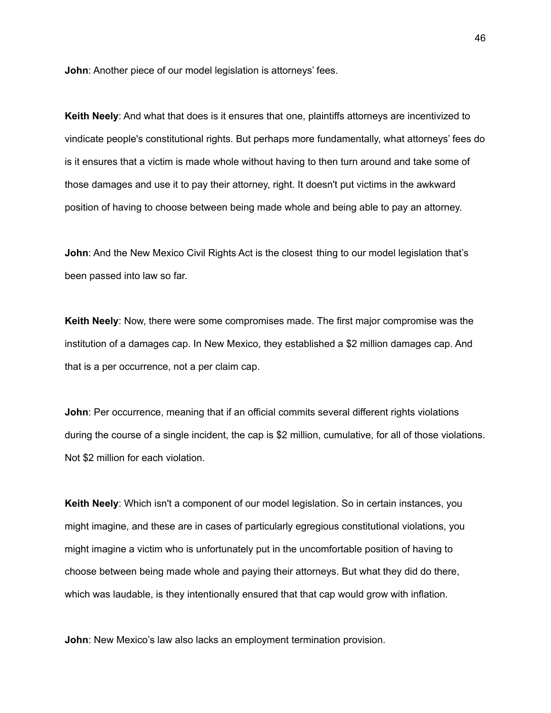**John**: Another piece of our model legislation is attorneys' fees.

**Keith Neely**: And what that does is it ensures that one, plaintiffs attorneys are incentivized to vindicate people's constitutional rights. But perhaps more fundamentally, what attorneys' fees do is it ensures that a victim is made whole without having to then turn around and take some of those damages and use it to pay their attorney, right. It doesn't put victims in the awkward position of having to choose between being made whole and being able to pay an attorney.

**John**: And the New Mexico Civil Rights Act is the closest thing to our model legislation that's been passed into law so far.

**Keith Neely**: Now, there were some compromises made. The first major compromise was the institution of a damages cap. In New Mexico, they established a \$2 million damages cap. And that is a per occurrence, not a per claim cap.

**John**: Per occurrence, meaning that if an official commits several different rights violations during the course of a single incident, the cap is \$2 million, cumulative, for all of those violations. Not \$2 million for each violation.

**Keith Neely**: Which isn't a component of our model legislation. So in certain instances, you might imagine, and these are in cases of particularly egregious constitutional violations, you might imagine a victim who is unfortunately put in the uncomfortable position of having to choose between being made whole and paying their attorneys. But what they did do there, which was laudable, is they intentionally ensured that that cap would grow with inflation.

**John**: New Mexico's law also lacks an employment termination provision.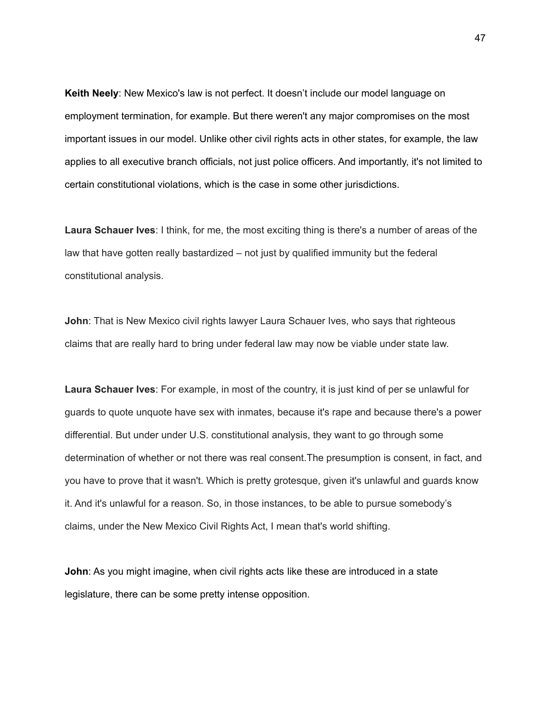**Keith Neely**: New Mexico's law is not perfect. It doesn't include our model language on employment termination, for example. But there weren't any major compromises on the most important issues in our model. Unlike other civil rights acts in other states, for example, the law applies to all executive branch officials, not just police officers. And importantly, it's not limited to certain constitutional violations, which is the case in some other jurisdictions.

**Laura Schauer Ives**: I think, for me, the most exciting thing is there's a number of areas of the law that have gotten really bastardized – not just by qualified immunity but the federal constitutional analysis.

**John**: That is New Mexico civil rights lawyer Laura Schauer Ives, who says that righteous claims that are really hard to bring under federal law may now be viable under state law.

**Laura Schauer Ives**: For example, in most of the country, it is just kind of per se unlawful for guards to quote unquote have sex with inmates, because it's rape and because there's a power differential. But under under U.S. constitutional analysis, they want to go through some determination of whether or not there was real consent.The presumption is consent, in fact, and you have to prove that it wasn't. Which is pretty grotesque, given it's unlawful and guards know it. And it's unlawful for a reason. So, in those instances, to be able to pursue somebody's claims, under the New Mexico Civil Rights Act, I mean that's world shifting.

**John**: As you might imagine, when civil rights acts like these are introduced in a state legislature, there can be some pretty intense opposition.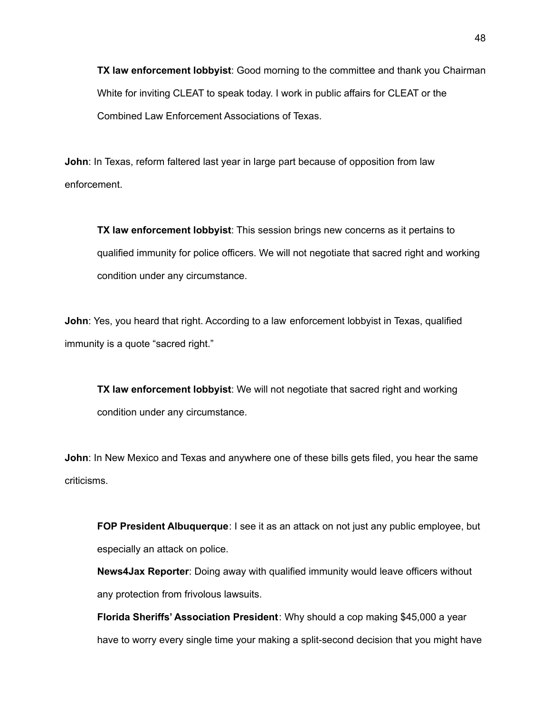**TX law enforcement lobbyist**: Good morning to the committee and thank you Chairman White for inviting CLEAT to speak today. I work in public affairs for CLEAT or the Combined Law Enforcement Associations of Texas.

**John**: In Texas, reform faltered last year in large part because of opposition from law enforcement.

**TX law enforcement lobbyist**: This session brings new concerns as it pertains to qualified immunity for police officers. We will not negotiate that sacred right and working condition under any circumstance.

**John**: Yes, you heard that right. According to a law enforcement lobbyist in Texas, qualified immunity is a quote "sacred right."

**TX law enforcement lobbyist**: We will not negotiate that sacred right and working condition under any circumstance.

**John**: In New Mexico and Texas and anywhere one of these bills gets filed, you hear the same criticisms.

**FOP President Albuquerque**: I see it as an attack on not just any public employee, but especially an attack on police.

**News4Jax Reporter**: Doing away with qualified immunity would leave officers without any protection from frivolous lawsuits.

**Florida Sheriffs' Association President**: Why should a cop making \$45,000 a year have to worry every single time your making a split-second decision that you might have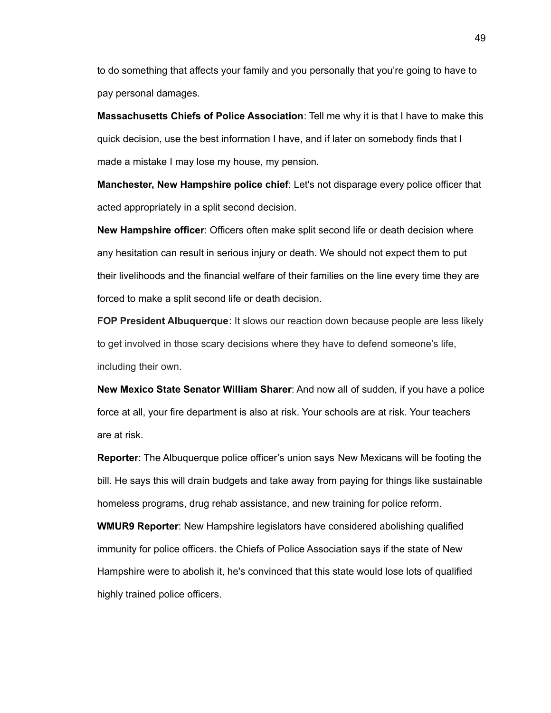to do something that affects your family and you personally that you're going to have to pay personal damages.

**Massachusetts Chiefs of Police Association**: Tell me why it is that I have to make this quick decision, use the best information I have, and if later on somebody finds that I made a mistake I may lose my house, my pension.

**Manchester, New Hampshire police chief**: Let's not disparage every police officer that acted appropriately in a split second decision.

**New Hampshire officer**: Officers often make split second life or death decision where any hesitation can result in serious injury or death. We should not expect them to put their livelihoods and the financial welfare of their families on the line every time they are forced to make a split second life or death decision.

**FOP President Albuquerque**: It slows our reaction down because people are less likely to get involved in those scary decisions where they have to defend someone's life, including their own.

**New Mexico State Senator William Sharer**: And now all of sudden, if you have a police force at all, your fire department is also at risk. Your schools are at risk. Your teachers are at risk.

**Reporter**: The Albuquerque police officer's union says New Mexicans will be footing the bill. He says this will drain budgets and take away from paying for things like sustainable homeless programs, drug rehab assistance, and new training for police reform.

**WMUR9 Reporter**: New Hampshire legislators have considered abolishing qualified immunity for police officers. the Chiefs of Police Association says if the state of New Hampshire were to abolish it, he's convinced that this state would lose lots of qualified highly trained police officers.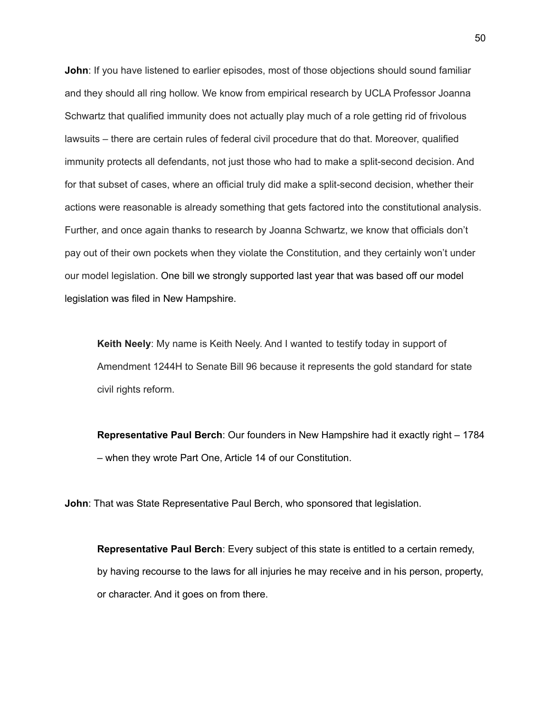**John**: If you have listened to earlier episodes, most of those objections should sound familiar and they should all ring hollow. We know from empirical research by UCLA Professor Joanna Schwartz that qualified immunity does not actually play much of a role getting rid of frivolous lawsuits – there are certain rules of federal civil procedure that do that. Moreover, qualified immunity protects all defendants, not just those who had to make a split-second decision. And for that subset of cases, where an official truly did make a split-second decision, whether their actions were reasonable is already something that gets factored into the constitutional analysis. Further, and once again thanks to research by Joanna Schwartz, we know that officials don't pay out of their own pockets when they violate the Constitution, and they certainly won't under our model legislation. One bill we strongly supported last year that was based off our model legislation was filed in New Hampshire.

**Keith Neely**: My name is Keith Neely. And I wanted to testify today in support of Amendment 1244H to Senate Bill 96 because it represents the gold standard for state civil rights reform.

**Representative Paul Berch**: Our founders in New Hampshire had it exactly right – 1784 – when they wrote Part One, Article 14 of our Constitution.

**John**: That was State Representative Paul Berch, who sponsored that legislation.

**Representative Paul Berch**: Every subject of this state is entitled to a certain remedy, by having recourse to the laws for all injuries he may receive and in his person, property, or character. And it goes on from there.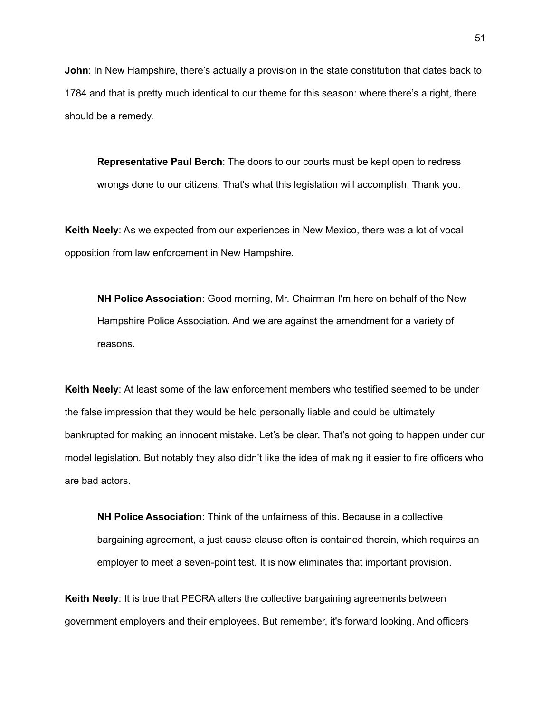**John**: In New Hampshire, there's actually a provision in the state constitution that dates back to 1784 and that is pretty much identical to our theme for this season: where there's a right, there should be a remedy.

**Representative Paul Berch**: The doors to our courts must be kept open to redress wrongs done to our citizens. That's what this legislation will accomplish. Thank you.

**Keith Neely**: As we expected from our experiences in New Mexico, there was a lot of vocal opposition from law enforcement in New Hampshire.

**NH Police Association**: Good morning, Mr. Chairman I'm here on behalf of the New Hampshire Police Association. And we are against the amendment for a variety of reasons.

**Keith Neely**: At least some of the law enforcement members who testified seemed to be under the false impression that they would be held personally liable and could be ultimately bankrupted for making an innocent mistake. Let's be clear. That's not going to happen under our model legislation. But notably they also didn't like the idea of making it easier to fire officers who are bad actors.

**NH Police Association**: Think of the unfairness of this. Because in a collective bargaining agreement, a just cause clause often is contained therein, which requires an employer to meet a seven-point test. It is now eliminates that important provision.

**Keith Neely**: It is true that PECRA alters the collective bargaining agreements between government employers and their employees. But remember, it's forward looking. And officers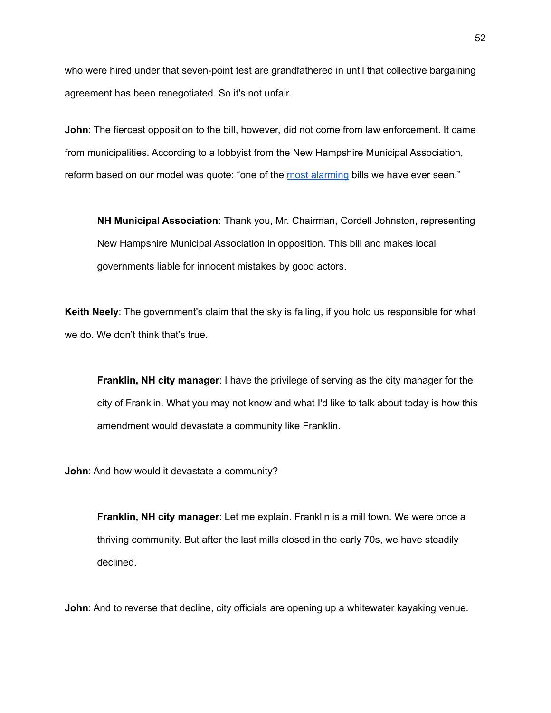who were hired under that seven-point test are grandfathered in until that collective bargaining agreement has been renegotiated. So it's not unfair.

**John**: The fiercest opposition to the bill, however, did not come from law enforcement. It came from municipalities. According to a lobbyist from the New Hampshire Municipal Association, reform based on our model was quote: "one of the most [alarming](https://www.nhbr.com/house-bill-targeting-public-officials-immunity-faulted-by-municipalities-police/) bills we have ever seen."

**NH Municipal Association**: Thank you, Mr. Chairman, Cordell Johnston, representing New Hampshire Municipal Association in opposition. This bill and makes local governments liable for innocent mistakes by good actors.

**Keith Neely**: The government's claim that the sky is falling, if you hold us responsible for what we do. We don't think that's true.

**Franklin, NH city manager**: I have the privilege of serving as the city manager for the city of Franklin. What you may not know and what I'd like to talk about today is how this amendment would devastate a community like Franklin.

**John**: And how would it devastate a community?

**Franklin, NH city manager**: Let me explain. Franklin is a mill town. We were once a thriving community. But after the last mills closed in the early 70s, we have steadily declined.

**John**: And to reverse that decline, city officials are opening up a whitewater kayaking venue.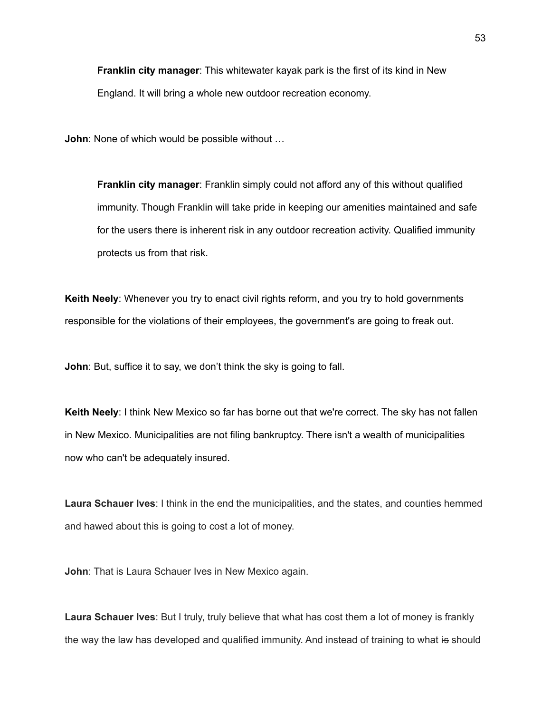**Franklin city manager**: This whitewater kayak park is the first of its kind in New England. It will bring a whole new outdoor recreation economy.

**John**: None of which would be possible without …

**Franklin city manager**: Franklin simply could not afford any of this without qualified immunity. Though Franklin will take pride in keeping our amenities maintained and safe for the users there is inherent risk in any outdoor recreation activity. Qualified immunity protects us from that risk.

**Keith Neely**: Whenever you try to enact civil rights reform, and you try to hold governments responsible for the violations of their employees, the government's are going to freak out.

**John**: But, suffice it to say, we don't think the sky is going to fall.

**Keith Neely**: I think New Mexico so far has borne out that we're correct. The sky has not fallen in New Mexico. Municipalities are not filing bankruptcy. There isn't a wealth of municipalities now who can't be adequately insured.

**Laura Schauer Ives**: I think in the end the municipalities, and the states, and counties hemmed and hawed about this is going to cost a lot of money.

**John**: That is Laura Schauer Ives in New Mexico again.

**Laura Schauer Ives**: But I truly, truly believe that what has cost them a lot of money is frankly the way the law has developed and qualified immunity. And instead of training to what is should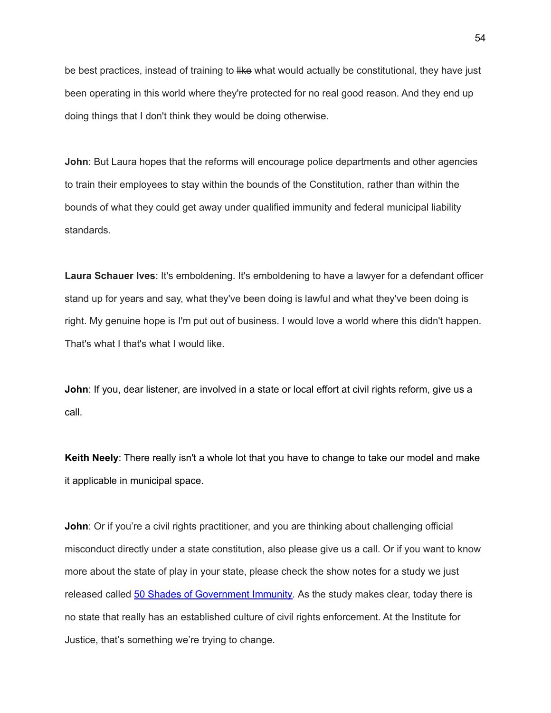be best practices, instead of training to like what would actually be constitutional, they have just been operating in this world where they're protected for no real good reason. And they end up doing things that I don't think they would be doing otherwise.

**John**: But Laura hopes that the reforms will encourage police departments and other agencies to train their employees to stay within the bounds of the Constitution, rather than within the bounds of what they could get away under qualified immunity and federal municipal liability standards.

**Laura Schauer Ives**: It's emboldening. It's emboldening to have a lawyer for a defendant officer stand up for years and say, what they've been doing is lawful and what they've been doing is right. My genuine hope is I'm put out of business. I would love a world where this didn't happen. That's what I that's what I would like.

**John**: If you, dear listener, are involved in a state or local effort at civil rights reform, give us a call.

**Keith Neely**: There really isn't a whole lot that you have to change to take our model and make it applicable in municipal space.

**John**: Or if you're a civil rights practitioner, and you are thinking about challenging official misconduct directly under a state constitution, also please give us a call. Or if you want to know more about the state of play in your state, please check the show notes for a study we just released called 50 Shades of [Government](https://ij.org/report/50-shades-of-government-immunity/) Immunity. As the study makes clear, today there is no state that really has an established culture of civil rights enforcement. At the Institute for Justice, that's something we're trying to change.